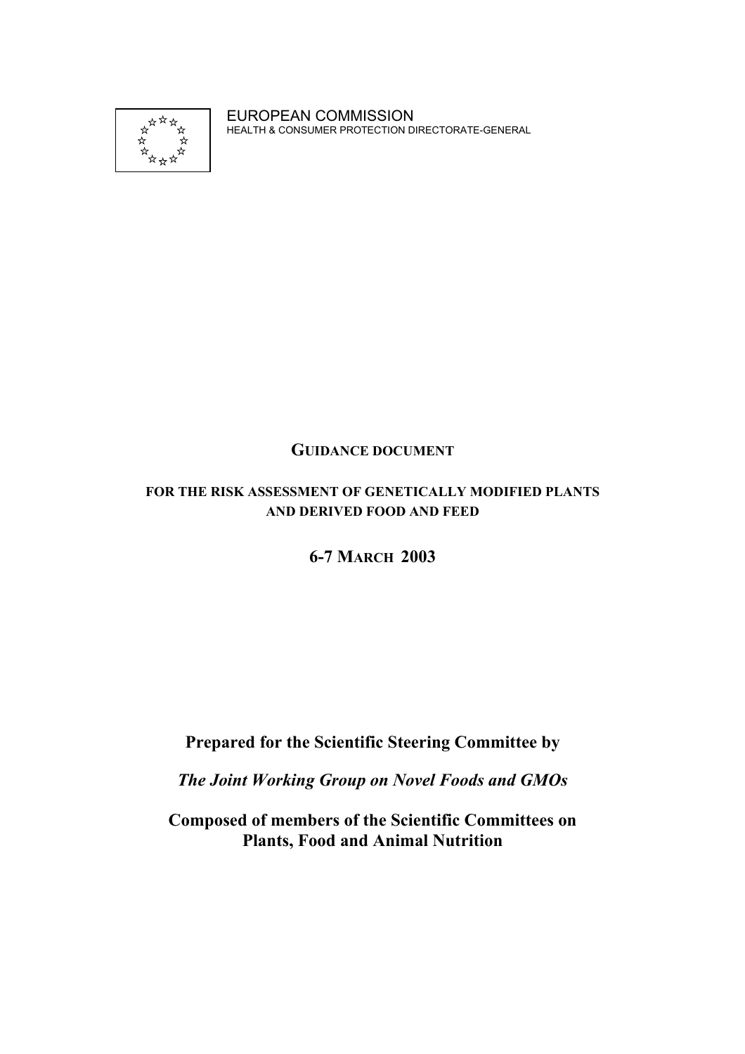

EUROPEAN COMMISSION HEALTH & CONSUMER PROTECTION DIRECTORATE-GENERAL

## **GUIDANCE DOCUMENT**

## **FOR THE RISK ASSESSMENT OF GENETICALLY MODIFIED PLANTS AND DERIVED FOOD AND FEED**

## **6-7 MARCH 2003**

# **Prepared for the Scientific Steering Committee by**

*The Joint Working Group on Novel Foods and GMOs*

**Composed of members of the Scientific Committees on Plants, Food and Animal Nutrition**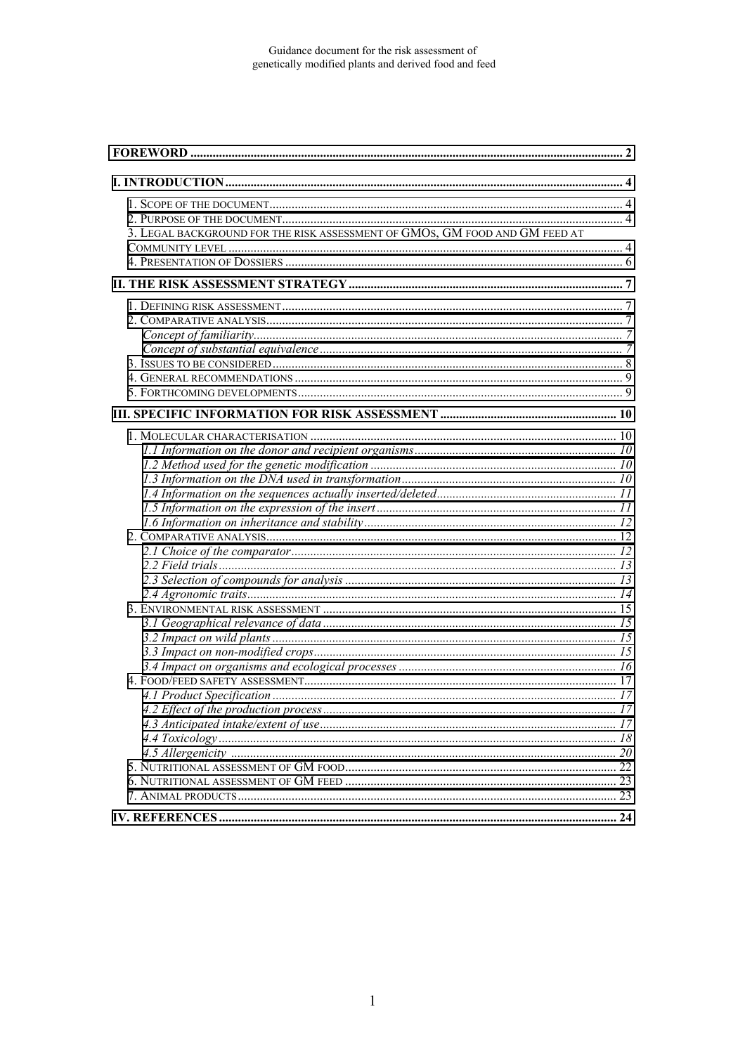| 3. LEGAL BACKGROUND FOR THE RISK ASSESSMENT OF GMOS, GM FOOD AND GM FEED AT |  |
|-----------------------------------------------------------------------------|--|
|                                                                             |  |
|                                                                             |  |
|                                                                             |  |
|                                                                             |  |
|                                                                             |  |
|                                                                             |  |
|                                                                             |  |
|                                                                             |  |
|                                                                             |  |
|                                                                             |  |
|                                                                             |  |
|                                                                             |  |
|                                                                             |  |
|                                                                             |  |
|                                                                             |  |
|                                                                             |  |
|                                                                             |  |
|                                                                             |  |
|                                                                             |  |
|                                                                             |  |
|                                                                             |  |
|                                                                             |  |
|                                                                             |  |
|                                                                             |  |
|                                                                             |  |
|                                                                             |  |
|                                                                             |  |
|                                                                             |  |
|                                                                             |  |
|                                                                             |  |
|                                                                             |  |
|                                                                             |  |
|                                                                             |  |
|                                                                             |  |
|                                                                             |  |
|                                                                             |  |
|                                                                             |  |
|                                                                             |  |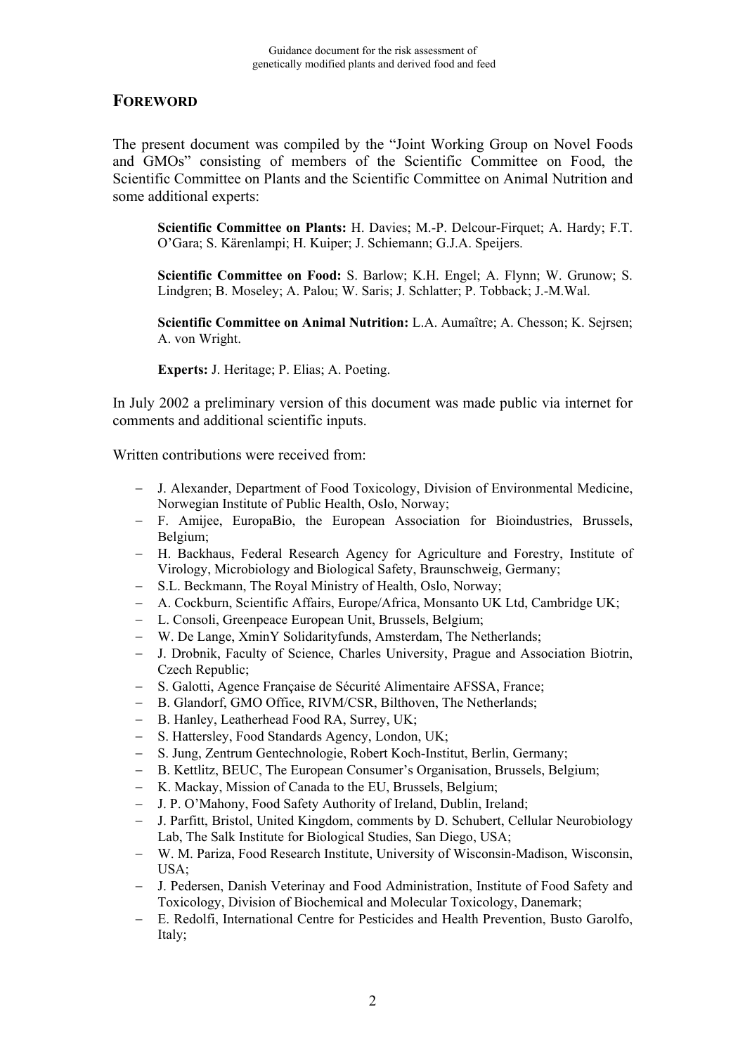## <span id="page-2-0"></span>**FOREWORD**

The present document was compiled by the "Joint Working Group on Novel Foods and GMOs" consisting of members of the Scientific Committee on Food, the Scientific Committee on Plants and the Scientific Committee on Animal Nutrition and some additional experts:

**Scientific Committee on Plants:** H. Davies; M.-P. Delcour-Firquet; A. Hardy; F.T. O'Gara; S. Kärenlampi; H. Kuiper; J. Schiemann; G.J.A. Speijers.

**Scientific Committee on Food:** S. Barlow; K.H. Engel; A. Flynn; W. Grunow; S. Lindgren; B. Moseley; A. Palou; W. Saris; J. Schlatter; P. Tobback; J.-M.Wal.

**Scientific Committee on Animal Nutrition:** L.A. Aumaître; A. Chesson; K. Sejrsen; A. von Wright.

**Experts:** J. Heritage; P. Elias; A. Poeting.

In July 2002 a preliminary version of this document was made public via internet for comments and additional scientific inputs.

Written contributions were received from:

- J. Alexander, Department of Food Toxicology, Division of Environmental Medicine, Norwegian Institute of Public Health, Oslo, Norway;
- F. Amijee, EuropaBio, the European Association for Bioindustries, Brussels, Belgium;
- H. Backhaus, Federal Research Agency for Agriculture and Forestry, Institute of Virology, Microbiology and Biological Safety, Braunschweig, Germany;
- S.L. Beckmann, The Royal Ministry of Health, Oslo, Norway;
- A. Cockburn, Scientific Affairs, Europe/Africa, Monsanto UK Ltd, Cambridge UK;
- L. Consoli, Greenpeace European Unit, Brussels, Belgium;
- W. De Lange, XminY Solidarityfunds, Amsterdam, The Netherlands;
- J. Drobnik, Faculty of Science, Charles University, Prague and Association Biotrin, Czech Republic;
- S. Galotti, Agence Française de Sécurité Alimentaire AFSSA, France;
- B. Glandorf, GMO Office, RIVM/CSR, Bilthoven, The Netherlands;
- B. Hanley, Leatherhead Food RA, Surrey, UK;
- S. Hattersley, Food Standards Agency, London, UK;
- S. Jung, Zentrum Gentechnologie, Robert Koch-Institut, Berlin, Germany;
- B. Kettlitz, BEUC, The European Consumer's Organisation, Brussels, Belgium;
- K. Mackay, Mission of Canada to the EU, Brussels, Belgium;
- J. P. O'Mahony, Food Safety Authority of Ireland, Dublin, Ireland;
- J. Parfitt, Bristol, United Kingdom, comments by D. Schubert, Cellular Neurobiology Lab, The Salk Institute for Biological Studies, San Diego, USA;
- W. M. Pariza, Food Research Institute, University of Wisconsin-Madison, Wisconsin, USA;
- J. Pedersen, Danish Veterinay and Food Administration, Institute of Food Safety and Toxicology, Division of Biochemical and Molecular Toxicology, Danemark;
- E. Redolfi, International Centre for Pesticides and Health Prevention, Busto Garolfo, Italy;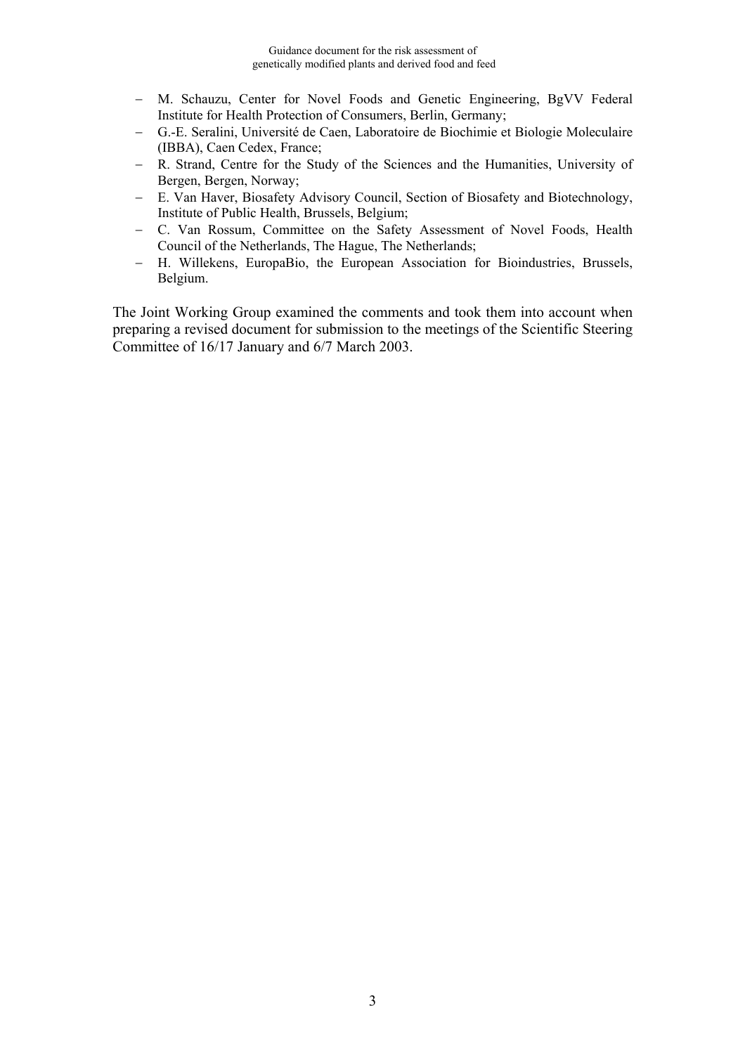- M. Schauzu, Center for Novel Foods and Genetic Engineering, BgVV Federal Institute for Health Protection of Consumers, Berlin, Germany;
- G.-E. Seralini, Université de Caen, Laboratoire de Biochimie et Biologie Moleculaire (IBBA), Caen Cedex, France;
- R. Strand, Centre for the Study of the Sciences and the Humanities, University of Bergen, Bergen, Norway;
- E. Van Haver, Biosafety Advisory Council, Section of Biosafety and Biotechnology, Institute of Public Health, Brussels, Belgium;
- C. Van Rossum, Committee on the Safety Assessment of Novel Foods, Health Council of the Netherlands, The Hague, The Netherlands;
- H. Willekens, EuropaBio, the European Association for Bioindustries, Brussels, Belgium.

The Joint Working Group examined the comments and took them into account when preparing a revised document for submission to the meetings of the Scientific Steering Committee of 16/17 January and 6/7 March 2003.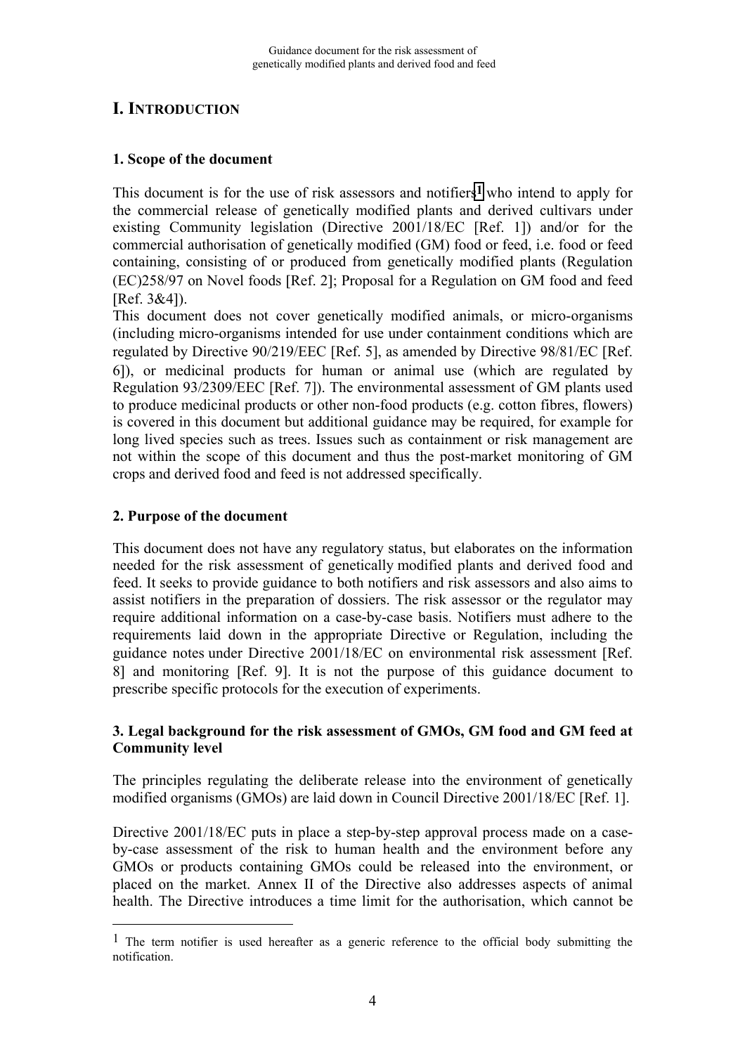## <span id="page-4-0"></span>**I. INTRODUCTION**

## **1. Scope of the document**

This document is for the use of risk assessors and notifiers**1** who intend to apply for the commercial release of genetically modified plants and derived cultivars under existing Community legislation (Directive 2001/18/EC [Ref. 1]) and/or for the commercial authorisation of genetically modified (GM) food or feed, i.e. food or feed containing, consisting of or produced from genetically modified plants (Regulation (EC)258/97 on Novel foods [Ref. 2]; Proposal for a Regulation on GM food and feed  $[Ref. 3&4]$ ).

This document does not cover genetically modified animals, or micro-organisms (including micro-organisms intended for use under containment conditions which are regulated by Directive 90/219/EEC [Ref. 5], as amended by Directive 98/81/EC Ref. 6]), or medicinal products for human or animal use (which are regulated by Regulation 93/2309/EEC [Ref. 7]). The environmental assessment of GM plants used to produce medicinal products or other non-food products (e.g. cotton fibres, flowers) is covered in this document but additional guidance may be required, for example for long lived species such as trees. Issues such as containment or risk management are not within the scope of this document and thus the post-market monitoring of GM crops and derived food and feed is not addressed specifically.

## **2. Purpose of the document**

<u>.</u>

This document does not have any regulatory status, but elaborates on the information needed for the risk assessment of genetically modified plants and derived food and feed. It seeks to provide guidance to both notifiers and risk assessors and also aims to assist notifiers in the preparation of dossiers. The risk assessor or the regulator may require additional information on a case-by-case basis. Notifiers must adhere to the requirements laid down in the appropriate Directive or Regulation, including the guidance notes under Directive 2001/18/EC on environmental risk assessment Ref. 8] and monitoring [Ref. 9]. It is not the purpose of this guidance document to prescribe specific protocols for the execution of experiments.

#### **3. Legal background for the risk assessment of GMOs, GM food and GM feed at Community level**

The principles regulating the deliberate release into the environment of genetically modified organisms (GMOs) are laid down in Council Directive 2001/18/EC [Ref. 1].

Directive 2001/18/EC puts in place a step-by-step approval process made on a caseby-case assessment of the risk to human health and the environment before any GMOs or products containing GMOs could be released into the environment, or placed on the market. Annex II of the Directive also addresses aspects of animal health. The Directive introduces a time limit for the authorisation, which cannot be

<sup>&</sup>lt;sup>1</sup> The term notifier is used hereafter as a generic reference to the official body submitting the notification.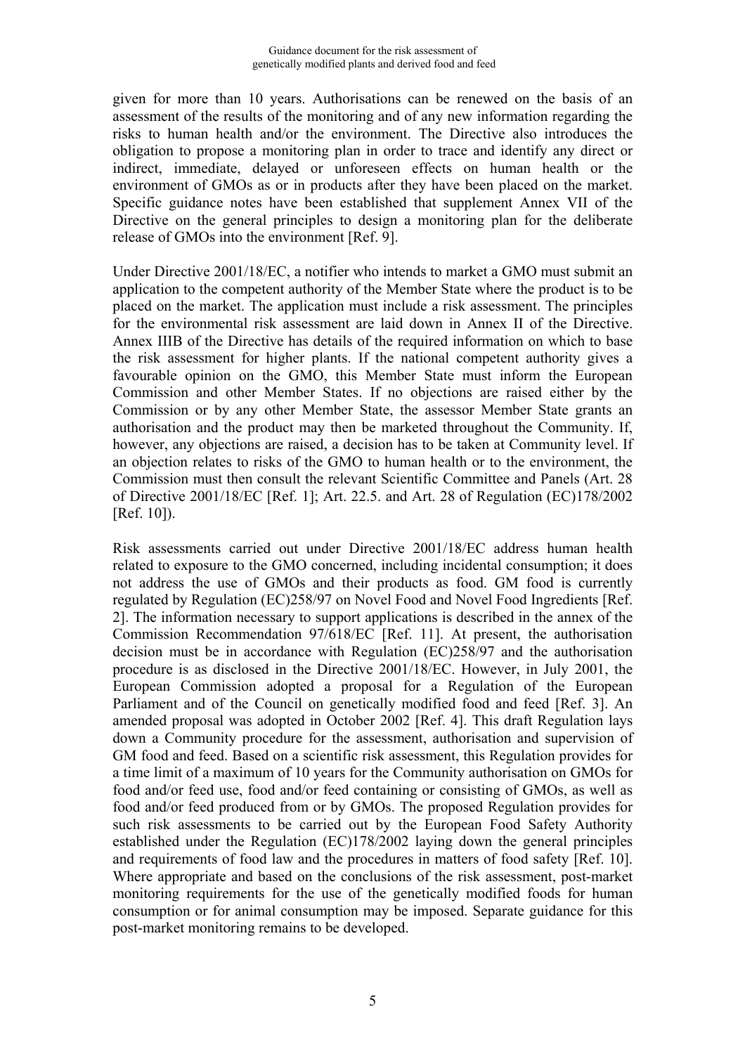given for more than 10 years. Authorisations can be renewed on the basis of an assessment of the results of the monitoring and of any new information regarding the risks to human health and/or the environment. The Directive also introduces the obligation to propose a monitoring plan in order to trace and identify any direct or indirect, immediate, delayed or unforeseen effects on human health or the environment of GMOs as or in products after they have been placed on the market. Specific guidance notes have been established that supplement Annex VII of the Directive on the general principles to design a monitoring plan for the deliberate release of GMOs into the environment [Ref. 9].

Under Directive 2001/18/EC, a notifier who intends to market a GMO must submit an application to the competent authority of the Member State where the product is to be placed on the market. The application must include a risk assessment. The principles for the environmental risk assessment are laid down in Annex II of the Directive. Annex IIIB of the Directive has details of the required information on which to base the risk assessment for higher plants. If the national competent authority gives a favourable opinion on the GMO, this Member State must inform the European Commission and other Member States. If no objections are raised either by the Commission or by any other Member State, the assessor Member State grants an authorisation and the product may then be marketed throughout the Community. If, however, any objections are raised, a decision has to be taken at Community level. If an objection relates to risks of the GMO to human health or to the environment, the Commission must then consult the relevant Scientific Committee and Panels (Art. 28 of Directive 2001/18/EC [Ref. 1]; Art. 22.5. and Art. 28 of Regulation (EC)178/2002 [Ref. 10]).

Risk assessments carried out under Directive 2001/18/EC address human health related to exposure to the GMO concerned, including incidental consumption; it does not address the use of GMOs and their products as food. GM food is currently regulated by Regulation (EC)258/97 on Novel Food and Novel Food Ingredients [Ref. 2]. The information necessary to support applications is described in the annex of the Commission Recommendation 97/618/EC [Ref. 11]. At present, the authorisation decision must be in accordance with Regulation (EC)258/97 and the authorisation procedure is as disclosed in the Directive 2001/18/EC. However, in July 2001, the European Commission adopted a proposal for a Regulation of the European Parliament and of the Council on genetically modified food and feed [Ref. 3]. An amended proposal was adopted in October 2002 [Ref. 4]. This draft Regulation lays down a Community procedure for the assessment, authorisation and supervision of GM food and feed. Based on a scientific risk assessment, this Regulation provides for a time limit of a maximum of 10 years for the Community authorisation on GMOs for food and/or feed use, food and/or feed containing or consisting of GMOs, as well as food and/or feed produced from or by GMOs. The proposed Regulation provides for such risk assessments to be carried out by the European Food Safety Authority established under the Regulation (EC)178/2002 laying down the general principles and requirements of food law and the procedures in matters of food safety [Ref. 10]. Where appropriate and based on the conclusions of the risk assessment, post-market monitoring requirements for the use of the genetically modified foods for human consumption or for animal consumption may be imposed. Separate guidance for this post-market monitoring remains to be developed.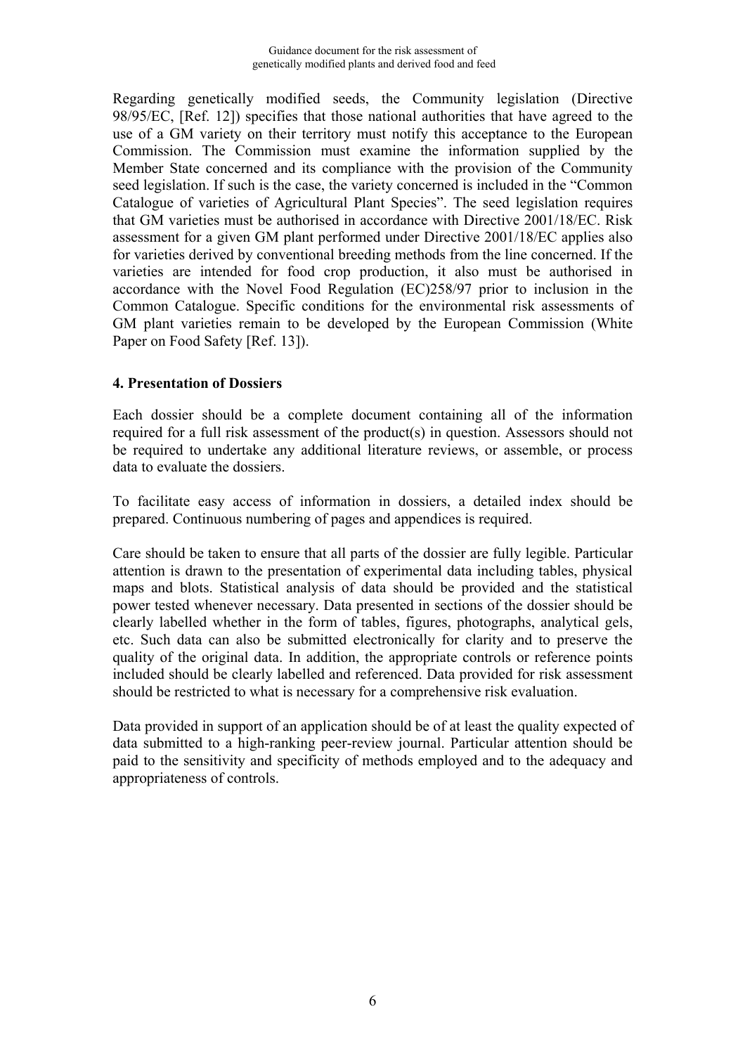<span id="page-6-0"></span>Regarding genetically modified seeds, the Community legislation (Directive 98/95/EC, [Ref. 12]) specifies that those national authorities that have agreed to the use of a GM variety on their territory must notify this acceptance to the European Commission. The Commission must examine the information supplied by the Member State concerned and its compliance with the provision of the Community seed legislation. If such is the case, the variety concerned is included in the "Common Catalogue of varieties of Agricultural Plant Species". The seed legislation requires that GM varieties must be authorised in accordance with Directive 2001/18/EC. Risk assessment for a given GM plant performed under Directive 2001/18/EC applies also for varieties derived by conventional breeding methods from the line concerned. If the varieties are intended for food crop production, it also must be authorised in accordance with the Novel Food Regulation (EC)258/97 prior to inclusion in the Common Catalogue. Specific conditions for the environmental risk assessments of GM plant varieties remain to be developed by the European Commission (White Paper on Food Safety [Ref. 13]).

#### **4. Presentation of Dossiers**

Each dossier should be a complete document containing all of the information required for a full risk assessment of the product(s) in question. Assessors should not be required to undertake any additional literature reviews, or assemble, or process data to evaluate the dossiers.

To facilitate easy access of information in dossiers, a detailed index should be prepared. Continuous numbering of pages and appendices is required.

Care should be taken to ensure that all parts of the dossier are fully legible. Particular attention is drawn to the presentation of experimental data including tables, physical maps and blots. Statistical analysis of data should be provided and the statistical power tested whenever necessary. Data presented in sections of the dossier should be clearly labelled whether in the form of tables, figures, photographs, analytical gels, etc. Such data can also be submitted electronically for clarity and to preserve the quality of the original data. In addition, the appropriate controls or reference points included should be clearly labelled and referenced. Data provided for risk assessment should be restricted to what is necessary for a comprehensive risk evaluation.

Data provided in support of an application should be of at least the quality expected of data submitted to a high-ranking peer-review journal. Particular attention should be paid to the sensitivity and specificity of methods employed and to the adequacy and appropriateness of controls.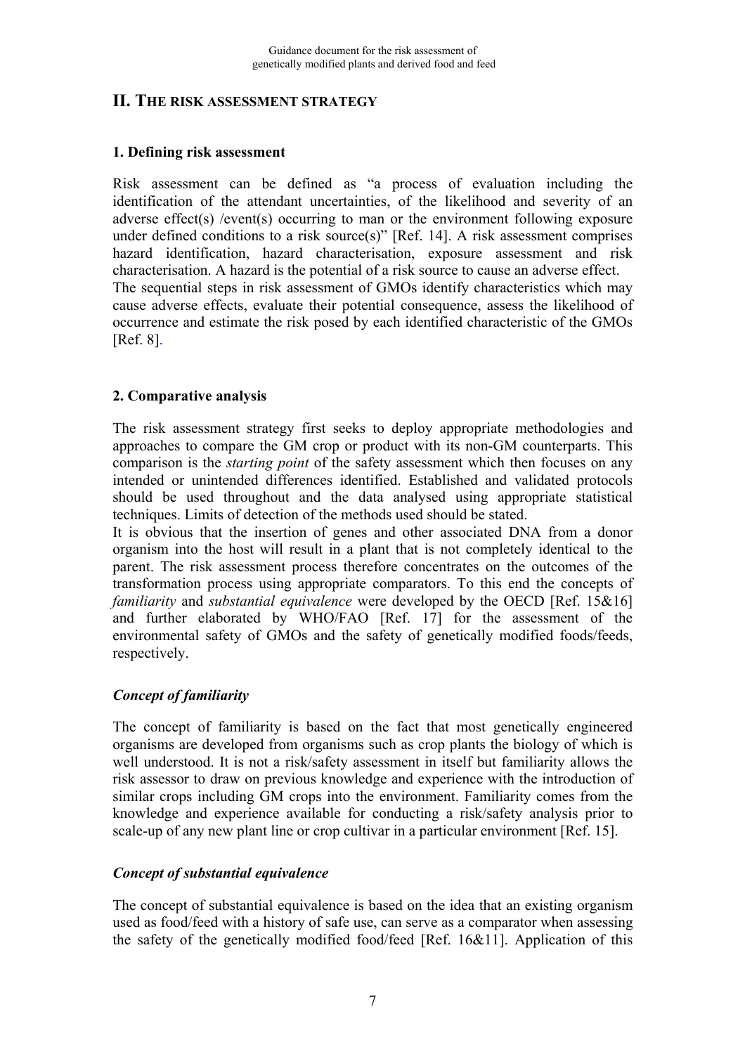## <span id="page-7-0"></span>**II. THE RISK ASSESSMENT STRATEGY**

#### **1. Defining risk assessment**

Risk assessment can be defined as "a process of evaluation including the identification of the attendant uncertainties, of the likelihood and severity of an adverse effect(s) /event(s) occurring to man or the environment following exposure under defined conditions to a risk source(s)" [Ref. 14]. A risk assessment comprises hazard identification, hazard characterisation, exposure assessment and risk characterisation. A hazard is the potential of a risk source to cause an adverse effect. The sequential steps in risk assessment of GMOs identify characteristics which may cause adverse effects, evaluate their potential consequence, assess the likelihood of occurrence and estimate the risk posed by each identified characteristic of the GMOs [Ref. 8].

#### **2. Comparative analysis**

The risk assessment strategy first seeks to deploy appropriate methodologies and approaches to compare the GM crop or product with its non-GM counterparts. This comparison is the *starting point* of the safety assessment which then focuses on any intended or unintended differences identified. Established and validated protocols should be used throughout and the data analysed using appropriate statistical techniques. Limits of detection of the methods used should be stated.

It is obvious that the insertion of genes and other associated DNA from a donor organism into the host will result in a plant that is not completely identical to the parent. The risk assessment process therefore concentrates on the outcomes of the transformation process using appropriate comparators. To this end the concepts of *familiarity* and *substantial equivalence* were developed by the OECD [Ref. 15&16] and further elaborated by WHO/FAO [Ref. 17] for the assessment of the environmental safety of GMOs and the safety of genetically modified foods/feeds, respectively.

#### *Concept of familiarity*

The concept of familiarity is based on the fact that most genetically engineered organisms are developed from organisms such as crop plants the biology of which is well understood. It is not a risk/safety assessment in itself but familiarity allows the risk assessor to draw on previous knowledge and experience with the introduction of similar crops including GM crops into the environment. Familiarity comes from the knowledge and experience available for conducting a risk/safety analysis prior to scale-up of any new plant line or crop cultivar in a particular environment [Ref. 15].

#### *Concept of substantial equivalence*

The concept of substantial equivalence is based on the idea that an existing organism used as food/feed with a history of safe use, can serve as a comparator when assessing the safety of the genetically modified food/feed [Ref. 16&11]. Application of this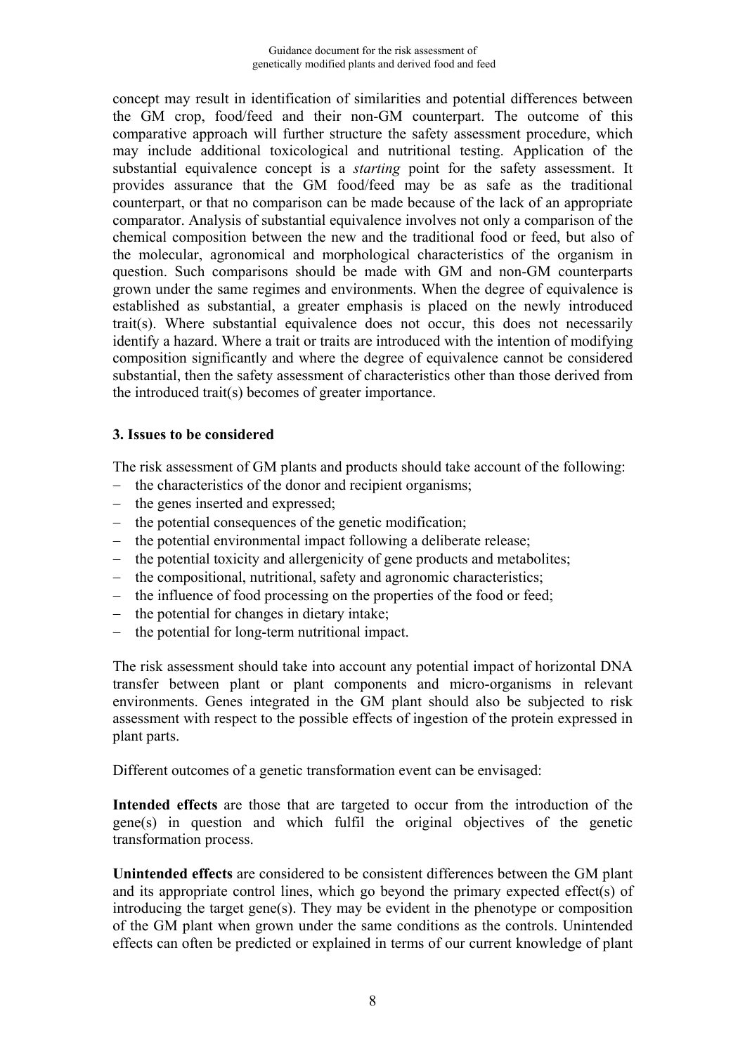<span id="page-8-0"></span>concept may result in identification of similarities and potential differences between the GM crop, food/feed and their non-GM counterpart. The outcome of this comparative approach will further structure the safety assessment procedure, which may include additional toxicological and nutritional testing. Application of the substantial equivalence concept is a *starting* point for the safety assessment. It provides assurance that the GM food/feed may be as safe as the traditional counterpart, or that no comparison can be made because of the lack of an appropriate comparator. Analysis of substantial equivalence involves not only a comparison of the chemical composition between the new and the traditional food or feed, but also of the molecular, agronomical and morphological characteristics of the organism in question. Such comparisons should be made with GM and non-GM counterparts grown under the same regimes and environments. When the degree of equivalence is established as substantial, a greater emphasis is placed on the newly introduced trait(s). Where substantial equivalence does not occur, this does not necessarily identify a hazard. Where a trait or traits are introduced with the intention of modifying composition significantly and where the degree of equivalence cannot be considered substantial, then the safety assessment of characteristics other than those derived from the introduced trait(s) becomes of greater importance.

#### **3. Issues to be considered**

The risk assessment of GM plants and products should take account of the following:

- $\theta$  the characteristics of the donor and recipient organisms;
- the genes inserted and expressed;
- $\theta$  the potential consequences of the genetic modification;
- the potential environmental impact following a deliberate release;
- the potential toxicity and allergenicity of gene products and metabolites;
- the compositional, nutritional, safety and agronomic characteristics;
- the influence of food processing on the properties of the food or feed;
- $\theta$  the potential for changes in dietary intake;
- $\theta$  the potential for long-term nutritional impact.

The risk assessment should take into account any potential impact of horizontal DNA transfer between plant or plant components and micro-organisms in relevant environments. Genes integrated in the GM plant should also be subjected to risk assessment with respect to the possible effects of ingestion of the protein expressed in plant parts.

Different outcomes of a genetic transformation event can be envisaged:

**Intended effects** are those that are targeted to occur from the introduction of the gene(s) in question and which fulfil the original objectives of the genetic transformation process.

**Unintended effects** are considered to be consistent differences between the GM plant and its appropriate control lines, which go beyond the primary expected effect(s) of introducing the target gene(s). They may be evident in the phenotype or composition of the GM plant when grown under the same conditions as the controls. Unintended effects can often be predicted or explained in terms of our current knowledge of plant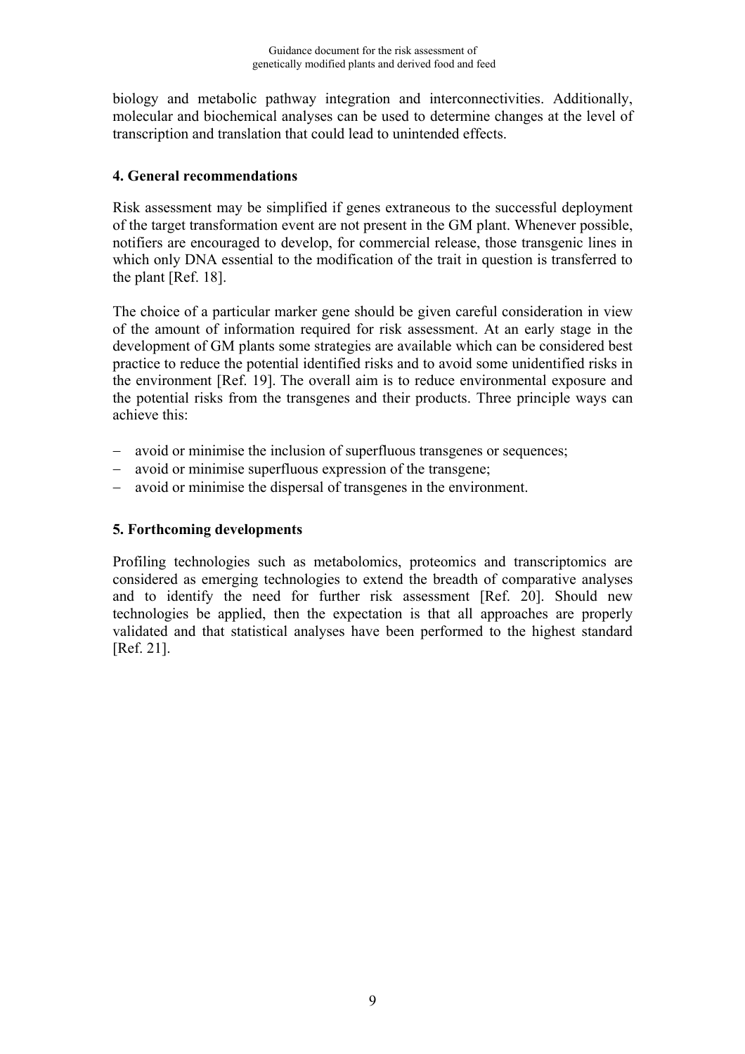<span id="page-9-0"></span>biology and metabolic pathway integration and interconnectivities. Additionally, molecular and biochemical analyses can be used to determine changes at the level of transcription and translation that could lead to unintended effects.

### **4. General recommendations**

Risk assessment may be simplified if genes extraneous to the successful deployment of the target transformation event are not present in the GM plant. Whenever possible, notifiers are encouraged to develop, for commercial release, those transgenic lines in which only DNA essential to the modification of the trait in question is transferred to the plant [Ref. 18].

The choice of a particular marker gene should be given careful consideration in view of the amount of information required for risk assessment. At an early stage in the development of GM plants some strategies are available which can be considered best practice to reduce the potential identified risks and to avoid some unidentified risks in the environment [Ref. 19]. The overall aim is to reduce environmental exposure and the potential risks from the transgenes and their products. Three principle ways can achieve this:

- avoid or minimise the inclusion of superfluous transgenes or sequences;
- avoid or minimise superfluous expression of the transgene;
- avoid or minimise the dispersal of transgenes in the environment.

## **5. Forthcoming developments**

Profiling technologies such as metabolomics, proteomics and transcriptomics are considered as emerging technologies to extend the breadth of comparative analyses and to identify the need for further risk assessment [Ref. 20]. Should new technologies be applied, then the expectation is that all approaches are properly validated and that statistical analyses have been performed to the highest standard [Ref. 21].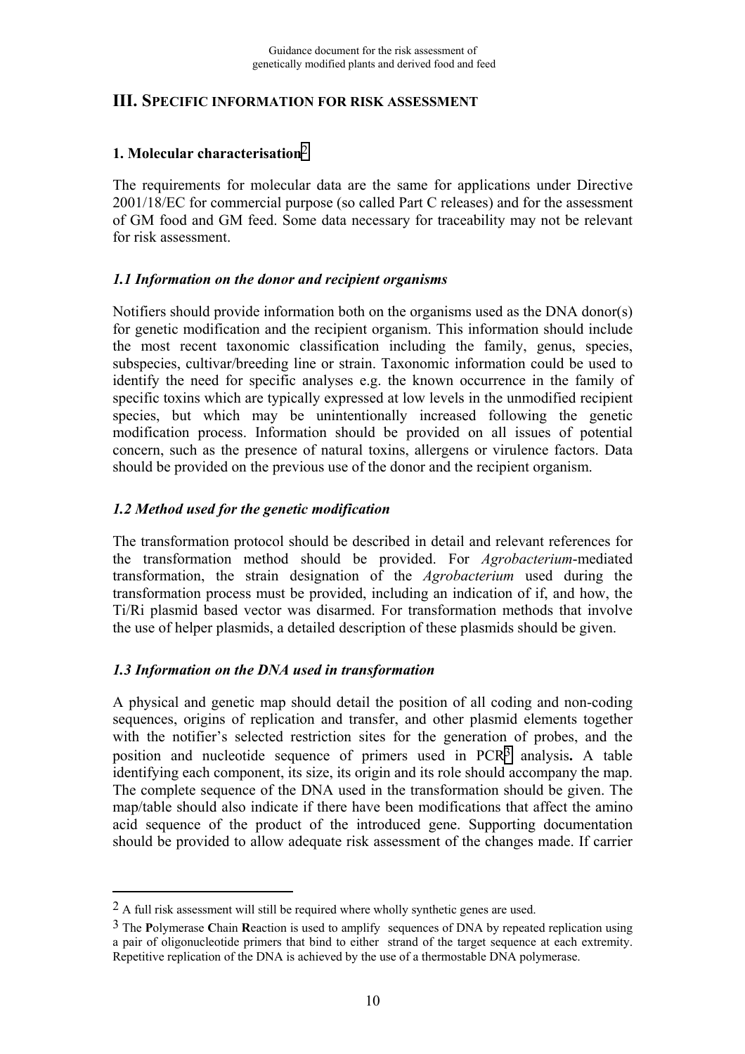## <span id="page-10-0"></span>**III. SPECIFIC INFORMATION FOR RISK ASSESSMENT**

## **1. Molecular characterisation**2

The requirements for molecular data are the same for applications under Directive 2001/18/EC for commercial purpose (so called Part C releases) and for the assessment of GM food and GM feed. Some data necessary for traceability may not be relevant for risk assessment.

#### *1.1 Information on the donor and recipient organisms*

Notifiers should provide information both on the organisms used as the DNA donor(s) for genetic modification and the recipient organism. This information should include the most recent taxonomic classification including the family, genus, species, subspecies, cultivar/breeding line or strain. Taxonomic information could be used to identify the need for specific analyses e.g. the known occurrence in the family of specific toxins which are typically expressed at low levels in the unmodified recipient species, but which may be unintentionally increased following the genetic modification process. Information should be provided on all issues of potential concern, such as the presence of natural toxins, allergens or virulence factors. Data should be provided on the previous use of the donor and the recipient organism.

## *1.2 Method used for the genetic modification*

The transformation protocol should be described in detail and relevant references for the transformation method should be provided. For *Agrobacterium*-mediated transformation, the strain designation of the *Agrobacterium* used during the transformation process must be provided, including an indication of if, and how, the Ti/Ri plasmid based vector was disarmed. For transformation methods that involve the use of helper plasmids, a detailed description of these plasmids should be given.

#### *1.3 Information on the DNA used in transformation*

1

A physical and genetic map should detail the position of all coding and non-coding sequences, origins of replication and transfer, and other plasmid elements together with the notifier's selected restriction sites for the generation of probes, and the position and nucleotide sequence of primers used in PCR3 analysis**.** A table identifying each component, its size, its origin and its role should accompany the map. The complete sequence of the DNA used in the transformation should be given. The map/table should also indicate if there have been modifications that affect the amino acid sequence of the product of the introduced gene. Supporting documentation should be provided to allow adequate risk assessment of the changes made. If carrier

<sup>2</sup> A full risk assessment will still be required where wholly synthetic genes are used.

<sup>3</sup> The **P**olymerase **C**hain **R**eaction is used to amplify sequences of DNA by repeated replication using a pair of oligonucleotide primers that bind to either strand of the target sequence at each extremity. Repetitive replication of the DNA is achieved by the use of a thermostable DNA polymerase.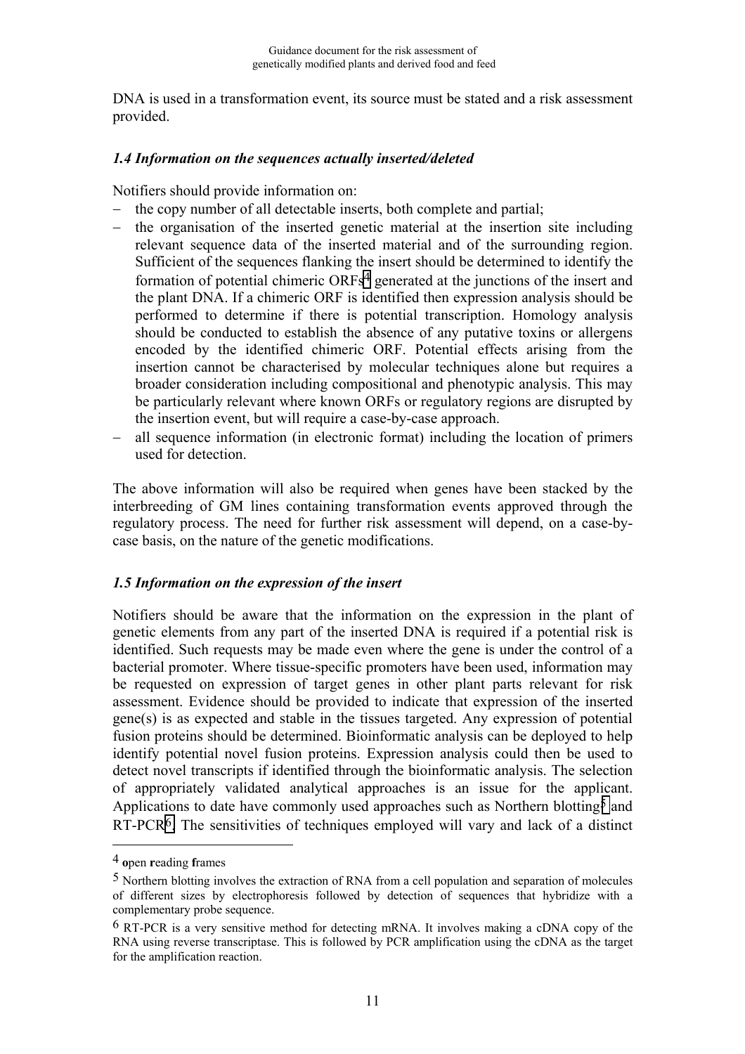<span id="page-11-0"></span>DNA is used in a transformation event, its source must be stated and a risk assessment provided.

#### *1.4 Information on the sequences actually inserted/deleted*

Notifiers should provide information on:

- the copy number of all detectable inserts, both complete and partial;
- the organisation of the inserted genetic material at the insertion site including relevant sequence data of the inserted material and of the surrounding region. Sufficient of the sequences flanking the insert should be determined to identify the formation of potential chimeric ORFs4 generated at the junctions of the insert and the plant DNA. If a chimeric ORF is identified then expression analysis should be performed to determine if there is potential transcription. Homology analysis should be conducted to establish the absence of any putative toxins or allergens encoded by the identified chimeric ORF. Potential effects arising from the insertion cannot be characterised by molecular techniques alone but requires a broader consideration including compositional and phenotypic analysis. This may be particularly relevant where known ORFs or regulatory regions are disrupted by the insertion event, but will require a case-by-case approach.
- all sequence information (in electronic format) including the location of primers used for detection.

The above information will also be required when genes have been stacked by the interbreeding of GM lines containing transformation events approved through the regulatory process. The need for further risk assessment will depend, on a case-bycase basis, on the nature of the genetic modifications.

#### *1.5 Information on the expression of the insert*

Notifiers should be aware that the information on the expression in the plant of genetic elements from any part of the inserted DNA is required if a potential risk is identified. Such requests may be made even where the gene is under the control of a bacterial promoter. Where tissue-specific promoters have been used, information may be requested on expression of target genes in other plant parts relevant for risk assessment. Evidence should be provided to indicate that expression of the inserted gene(s) is as expected and stable in the tissues targeted. Any expression of potential fusion proteins should be determined. Bioinformatic analysis can be deployed to help identify potential novel fusion proteins. Expression analysis could then be used to detect novel transcripts if identified through the bioinformatic analysis. The selection of appropriately validated analytical approaches is an issue for the applicant. Applications to date have commonly used approaches such as Northern blotting<sup>5</sup> and RT-PCR6. The sensitivities of techniques employed will vary and lack of a distinct

1

<sup>4</sup> **o**pen **r**eading **f**rames

<sup>5</sup> Northern blotting involves the extraction of RNA from a cell population and separation of molecules of different sizes by electrophoresis followed by detection of sequences that hybridize with a complementary probe sequence.

 $6$  RT-PCR is a very sensitive method for detecting mRNA. It involves making a cDNA copy of the RNA using reverse transcriptase. This is followed by PCR amplification using the cDNA as the target for the amplification reaction.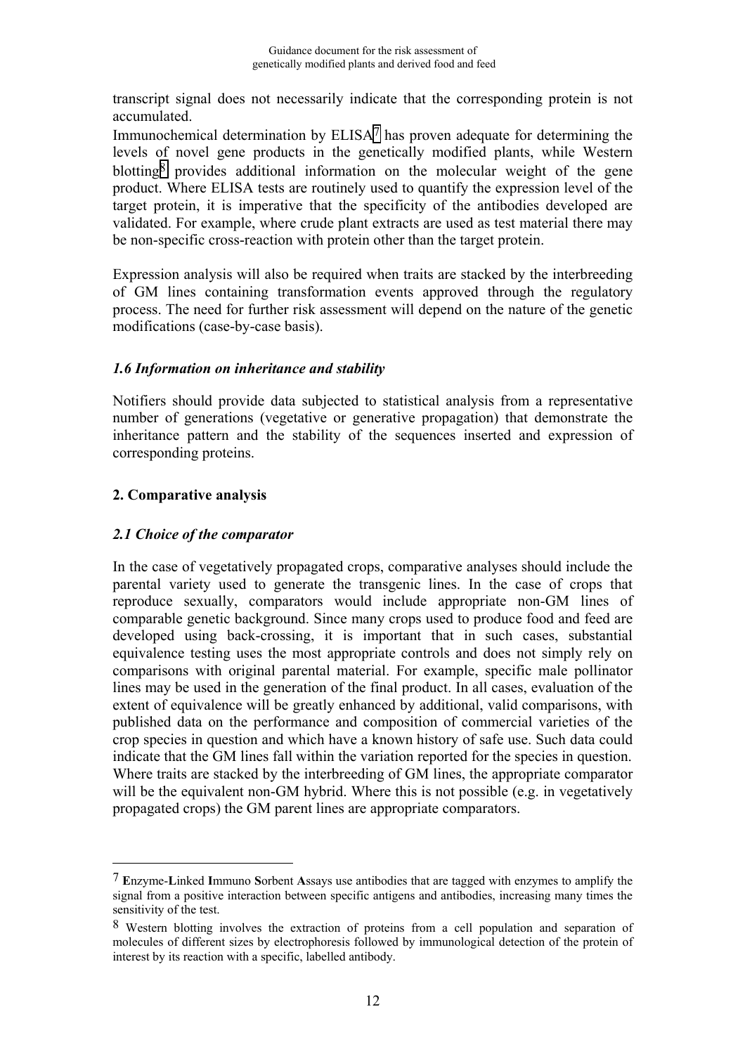<span id="page-12-0"></span>transcript signal does not necessarily indicate that the corresponding protein is not accumulated.

Immunochemical determination by ELISA<sup>7</sup> has proven adequate for determining the levels of novel gene products in the genetically modified plants, while Western blotting<sup>8</sup> provides additional information on the molecular weight of the gene product. Where ELISA tests are routinely used to quantify the expression level of the target protein, it is imperative that the specificity of the antibodies developed are validated. For example, where crude plant extracts are used as test material there may be non-specific cross-reaction with protein other than the target protein.

Expression analysis will also be required when traits are stacked by the interbreeding of GM lines containing transformation events approved through the regulatory process. The need for further risk assessment will depend on the nature of the genetic modifications (case-by-case basis).

#### *1.6 Information on inheritance and stability*

Notifiers should provide data subjected to statistical analysis from a representative number of generations (vegetative or generative propagation) that demonstrate the inheritance pattern and the stability of the sequences inserted and expression of corresponding proteins.

## **2. Comparative analysis**

1

### *2.1 Choice of the comparator*

In the case of vegetatively propagated crops, comparative analyses should include the parental variety used to generate the transgenic lines. In the case of crops that reproduce sexually, comparators would include appropriate non-GM lines of comparable genetic background. Since many crops used to produce food and feed are developed using back-crossing, it is important that in such cases, substantial equivalence testing uses the most appropriate controls and does not simply rely on comparisons with original parental material. For example, specific male pollinator lines may be used in the generation of the final product. In all cases, evaluation of the extent of equivalence will be greatly enhanced by additional, valid comparisons, with published data on the performance and composition of commercial varieties of the crop species in question and which have a known history of safe use. Such data could indicate that the GM lines fall within the variation reported for the species in question. Where traits are stacked by the interbreeding of GM lines, the appropriate comparator will be the equivalent non-GM hybrid. Where this is not possible (e.g. in vegetatively propagated crops) the GM parent lines are appropriate comparators.

<sup>7</sup> **E**nzyme-**L**inked **I**mmuno **S**orbent **A**ssays use antibodies that are tagged with enzymes to amplify the signal from a positive interaction between specific antigens and antibodies, increasing many times the sensitivity of the test.

<sup>8</sup> Western blotting involves the extraction of proteins from a cell population and separation of molecules of different sizes by electrophoresis followed by immunological detection of the protein of interest by its reaction with a specific, labelled antibody.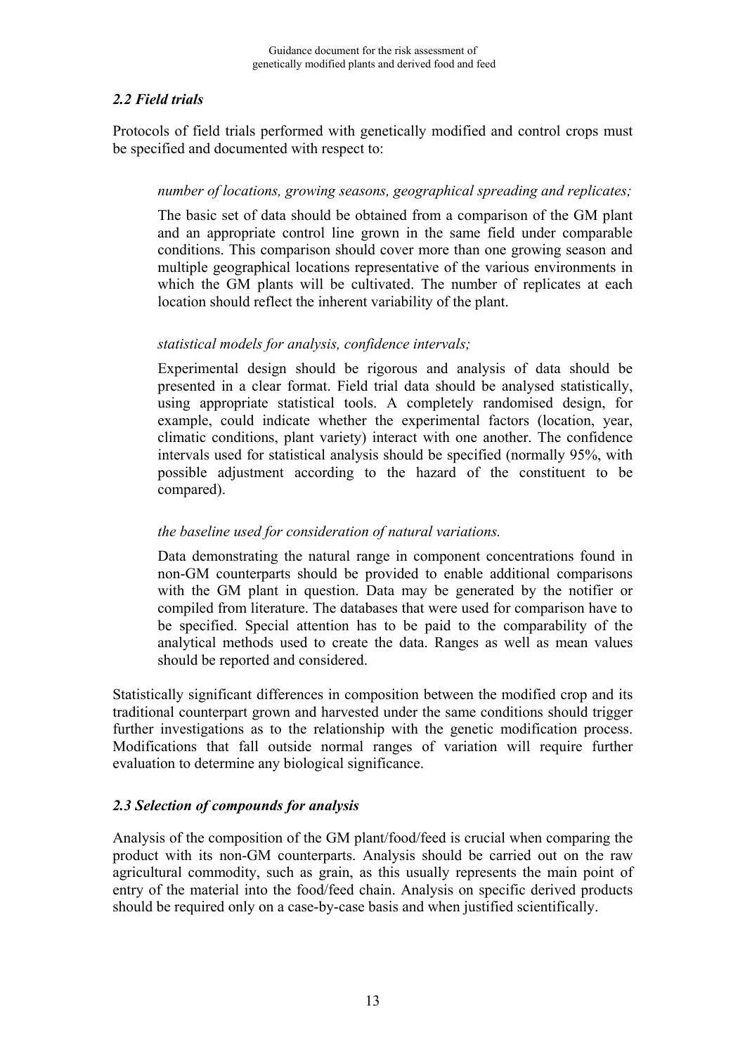## <span id="page-13-0"></span>*2.2 Field trials*

Protocols of field trials performed with genetically modified and control crops must be specified and documented with respect to:

### *number of locations, growing seasons, geographical spreading and replicates;*

The basic set of data should be obtained from a comparison of the GM plant and an appropriate control line grown in the same field under comparable conditions. This comparison should cover more than one growing season and multiple geographical locations representative of the various environments in which the GM plants will be cultivated. The number of replicates at each location should reflect the inherent variability of the plant.

## *statistical models for analysis, confidence intervals;*

Experimental design should be rigorous and analysis of data should be presented in a clear format. Field trial data should be analysed statistically, using appropriate statistical tools. A completely randomised design, for example, could indicate whether the experimental factors (location, year, climatic conditions, plant variety) interact with one another. The confidence intervals used for statistical analysis should be specified (normally 95%, with possible adjustment according to the hazard of the constituent to be compared).

### *the baseline used for consideration of natural variations.*

Data demonstrating the natural range in component concentrations found in non-GM counterparts should be provided to enable additional comparisons with the GM plant in question. Data may be generated by the notifier or compiled from literature. The databases that were used for comparison have to be specified. Special attention has to be paid to the comparability of the analytical methods used to create the data. Ranges as well as mean values should be reported and considered.

Statistically significant differences in composition between the modified crop and its traditional counterpart grown and harvested under the same conditions should trigger further investigations as to the relationship with the genetic modification process. Modifications that fall outside normal ranges of variation will require further evaluation to determine any biological significance.

## *2.3 Selection of compounds for analysis*

Analysis of the composition of the GM plant/food/feed is crucial when comparing the product with its non-GM counterparts. Analysis should be carried out on the raw agricultural commodity, such as grain, as this usually represents the main point of entry of the material into the food/feed chain. Analysis on specific derived products should be required only on a case-by-case basis and when justified scientifically.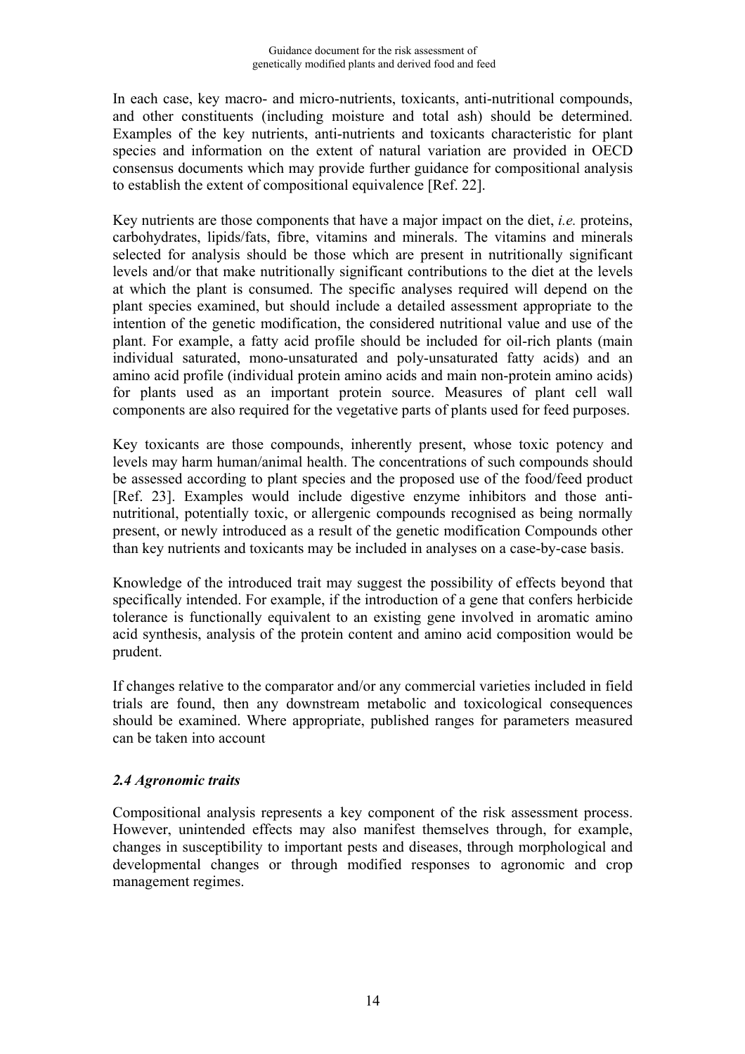<span id="page-14-0"></span>In each case, key macro- and micro-nutrients, toxicants, anti-nutritional compounds, and other constituents (including moisture and total ash) should be determined. Examples of the key nutrients, anti-nutrients and toxicants characteristic for plant species and information on the extent of natural variation are provided in OECD consensus documents which may provide further guidance for compositional analysis to establish the extent of compositional equivalence [Ref. 22].

Key nutrients are those components that have a major impact on the diet, *i.e.* proteins, carbohydrates, lipids/fats, fibre, vitamins and minerals. The vitamins and minerals selected for analysis should be those which are present in nutritionally significant levels and/or that make nutritionally significant contributions to the diet at the levels at which the plant is consumed. The specific analyses required will depend on the plant species examined, but should include a detailed assessment appropriate to the intention of the genetic modification, the considered nutritional value and use of the plant. For example, a fatty acid profile should be included for oil-rich plants (main individual saturated, mono-unsaturated and poly-unsaturated fatty acids) and an amino acid profile (individual protein amino acids and main non-protein amino acids) for plants used as an important protein source. Measures of plant cell wall components are also required for the vegetative parts of plants used for feed purposes.

Key toxicants are those compounds, inherently present, whose toxic potency and levels may harm human/animal health. The concentrations of such compounds should be assessed according to plant species and the proposed use of the food/feed product [Ref. 23]. Examples would include digestive enzyme inhibitors and those antinutritional, potentially toxic, or allergenic compounds recognised as being normally present, or newly introduced as a result of the genetic modification Compounds other than key nutrients and toxicants may be included in analyses on a case-by-case basis.

Knowledge of the introduced trait may suggest the possibility of effects beyond that specifically intended. For example, if the introduction of a gene that confers herbicide tolerance is functionally equivalent to an existing gene involved in aromatic amino acid synthesis, analysis of the protein content and amino acid composition would be prudent.

If changes relative to the comparator and/or any commercial varieties included in field trials are found, then any downstream metabolic and toxicological consequences should be examined. Where appropriate, published ranges for parameters measured can be taken into account

## *2.4 Agronomic traits*

Compositional analysis represents a key component of the risk assessment process. However, unintended effects may also manifest themselves through, for example, changes in susceptibility to important pests and diseases, through morphological and developmental changes or through modified responses to agronomic and crop management regimes.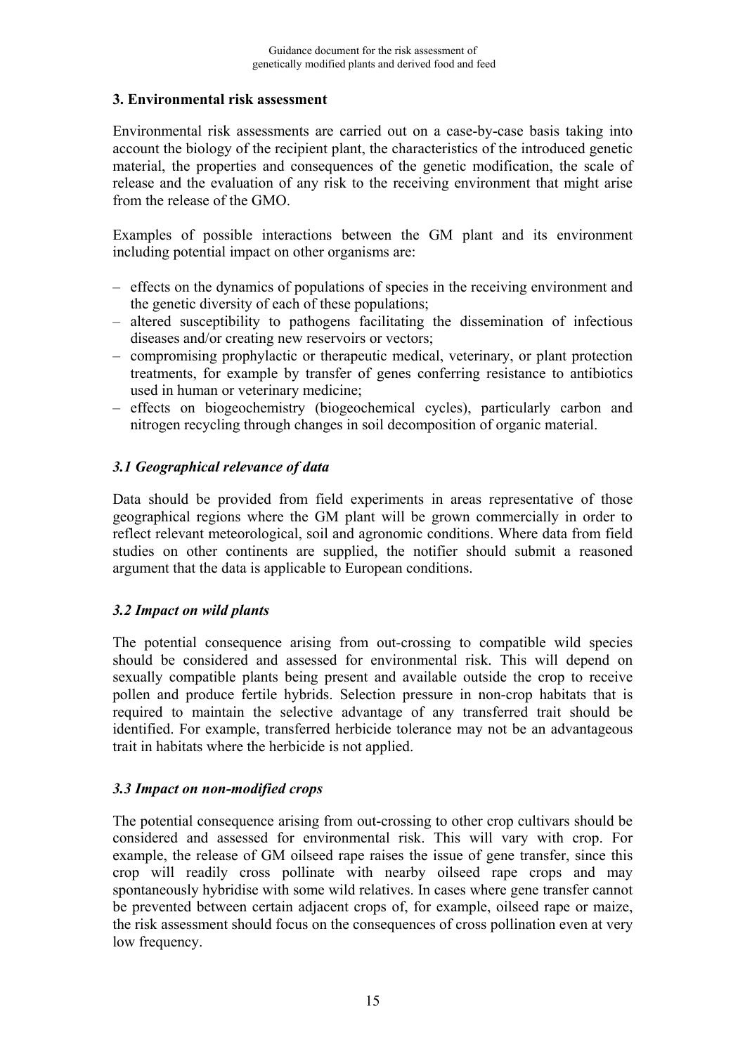#### <span id="page-15-0"></span>**3. Environmental risk assessment**

Environmental risk assessments are carried out on a case-by-case basis taking into account the biology of the recipient plant, the characteristics of the introduced genetic material, the properties and consequences of the genetic modification, the scale of release and the evaluation of any risk to the receiving environment that might arise from the release of the GMO.

Examples of possible interactions between the GM plant and its environment including potential impact on other organisms are:

- effects on the dynamics of populations of species in the receiving environment and the genetic diversity of each of these populations;
- altered susceptibility to pathogens facilitating the dissemination of infectious diseases and/or creating new reservoirs or vectors;
- compromising prophylactic or therapeutic medical, veterinary, or plant protection treatments, for example by transfer of genes conferring resistance to antibiotics used in human or veterinary medicine;
- effects on biogeochemistry (biogeochemical cycles), particularly carbon and nitrogen recycling through changes in soil decomposition of organic material.

## *3.1 Geographical relevance of data*

Data should be provided from field experiments in areas representative of those geographical regions where the GM plant will be grown commercially in order to reflect relevant meteorological, soil and agronomic conditions. Where data from field studies on other continents are supplied, the notifier should submit a reasoned argument that the data is applicable to European conditions.

#### *3.2 Impact on wild plants*

The potential consequence arising from out-crossing to compatible wild species should be considered and assessed for environmental risk. This will depend on sexually compatible plants being present and available outside the crop to receive pollen and produce fertile hybrids. Selection pressure in non-crop habitats that is required to maintain the selective advantage of any transferred trait should be identified. For example, transferred herbicide tolerance may not be an advantageous trait in habitats where the herbicide is not applied.

#### *3.3 Impact on non-modified crops*

The potential consequence arising from out-crossing to other crop cultivars should be considered and assessed for environmental risk. This will vary with crop. For example, the release of GM oilseed rape raises the issue of gene transfer, since this crop will readily cross pollinate with nearby oilseed rape crops and may spontaneously hybridise with some wild relatives. In cases where gene transfer cannot be prevented between certain adjacent crops of, for example, oilseed rape or maize, the risk assessment should focus on the consequences of cross pollination even at very low frequency.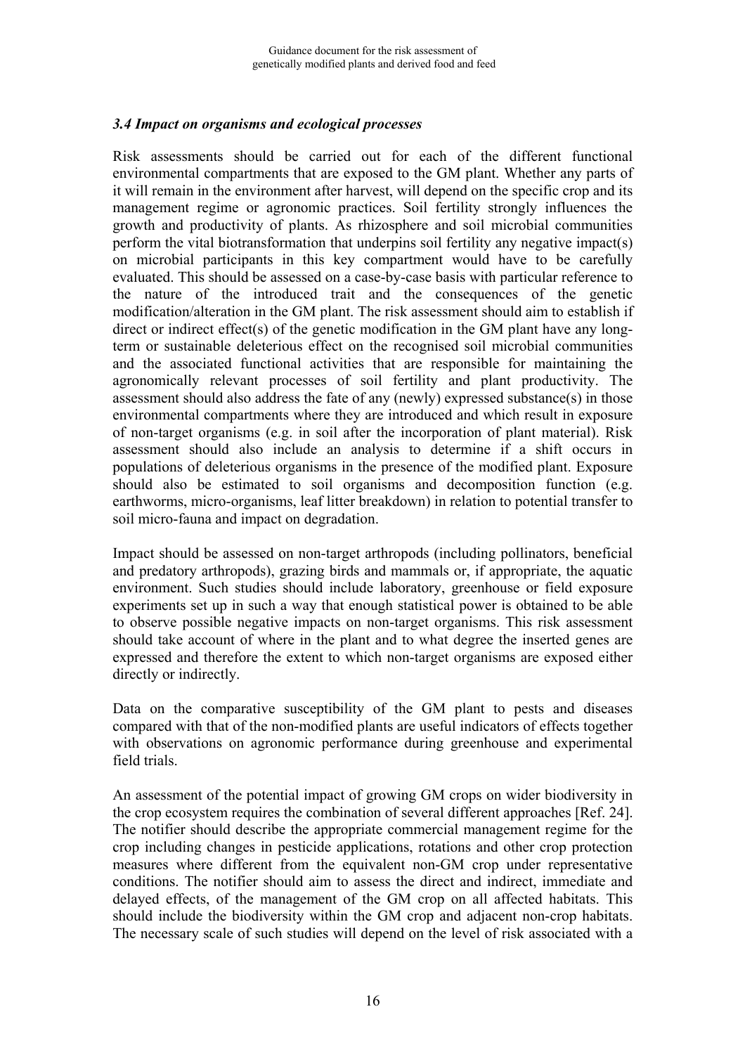#### <span id="page-16-0"></span>*3.4 Impact on organisms and ecological processes*

Risk assessments should be carried out for each of the different functional environmental compartments that are exposed to the GM plant. Whether any parts of it will remain in the environment after harvest, will depend on the specific crop and its management regime or agronomic practices. Soil fertility strongly influences the growth and productivity of plants. As rhizosphere and soil microbial communities perform the vital biotransformation that underpins soil fertility any negative impact(s) on microbial participants in this key compartment would have to be carefully evaluated. This should be assessed on a case-by-case basis with particular reference to the nature of the introduced trait and the consequences of the genetic modification/alteration in the GM plant. The risk assessment should aim to establish if direct or indirect effect(s) of the genetic modification in the GM plant have any longterm or sustainable deleterious effect on the recognised soil microbial communities and the associated functional activities that are responsible for maintaining the agronomically relevant processes of soil fertility and plant productivity. The assessment should also address the fate of any (newly) expressed substance(s) in those environmental compartments where they are introduced and which result in exposure of non-target organisms (e.g. in soil after the incorporation of plant material). Risk assessment should also include an analysis to determine if a shift occurs in populations of deleterious organisms in the presence of the modified plant. Exposure should also be estimated to soil organisms and decomposition function (e.g. earthworms, micro-organisms, leaf litter breakdown) in relation to potential transfer to soil micro-fauna and impact on degradation.

Impact should be assessed on non-target arthropods (including pollinators, beneficial and predatory arthropods), grazing birds and mammals or, if appropriate, the aquatic environment. Such studies should include laboratory, greenhouse or field exposure experiments set up in such a way that enough statistical power is obtained to be able to observe possible negative impacts on non-target organisms. This risk assessment should take account of where in the plant and to what degree the inserted genes are expressed and therefore the extent to which non-target organisms are exposed either directly or indirectly.

Data on the comparative susceptibility of the GM plant to pests and diseases compared with that of the non-modified plants are useful indicators of effects together with observations on agronomic performance during greenhouse and experimental field trials.

An assessment of the potential impact of growing GM crops on wider biodiversity in the crop ecosystem requires the combination of several different approaches [Ref. 24]. The notifier should describe the appropriate commercial management regime for the crop including changes in pesticide applications, rotations and other crop protection measures where different from the equivalent non-GM crop under representative conditions. The notifier should aim to assess the direct and indirect, immediate and delayed effects, of the management of the GM crop on all affected habitats. This should include the biodiversity within the GM crop and adjacent non-crop habitats. The necessary scale of such studies will depend on the level of risk associated with a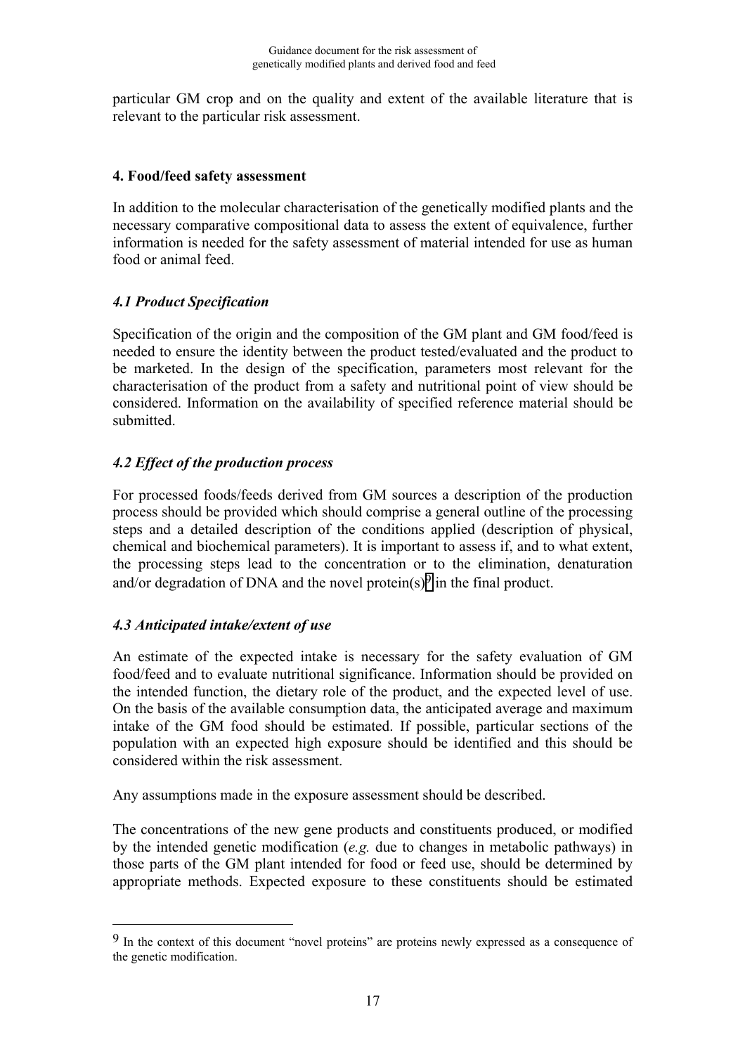<span id="page-17-0"></span>particular GM crop and on the quality and extent of the available literature that is relevant to the particular risk assessment.

## **4. Food/feed safety assessment**

In addition to the molecular characterisation of the genetically modified plants and the necessary comparative compositional data to assess the extent of equivalence, further information is needed for the safety assessment of material intended for use as human food or animal feed.

## *4.1 Product Specification*

Specification of the origin and the composition of the GM plant and GM food/feed is needed to ensure the identity between the product tested/evaluated and the product to be marketed. In the design of the specification, parameters most relevant for the characterisation of the product from a safety and nutritional point of view should be considered. Information on the availability of specified reference material should be submitted.

## *4.2 Effect of the production process*

For processed foods/feeds derived from GM sources a description of the production process should be provided which should comprise a general outline of the processing steps and a detailed description of the conditions applied (description of physical, chemical and biochemical parameters). It is important to assess if, and to what extent, the processing steps lead to the concentration or to the elimination, denaturation and/or degradation of DNA and the novel protein(s)<sup>9</sup> in the final product.

## *4.3 Anticipated intake/extent of use*

<u>.</u>

An estimate of the expected intake is necessary for the safety evaluation of GM food/feed and to evaluate nutritional significance. Information should be provided on the intended function, the dietary role of the product, and the expected level of use. On the basis of the available consumption data, the anticipated average and maximum intake of the GM food should be estimated. If possible, particular sections of the population with an expected high exposure should be identified and this should be considered within the risk assessment.

Any assumptions made in the exposure assessment should be described.

The concentrations of the new gene products and constituents produced, or modified by the intended genetic modification (*e.g.* due to changes in metabolic pathways) in those parts of the GM plant intended for food or feed use, should be determined by appropriate methods. Expected exposure to these constituents should be estimated

<sup>9</sup> In the context of this document "novel proteins" are proteins newly expressed as a consequence of the genetic modification.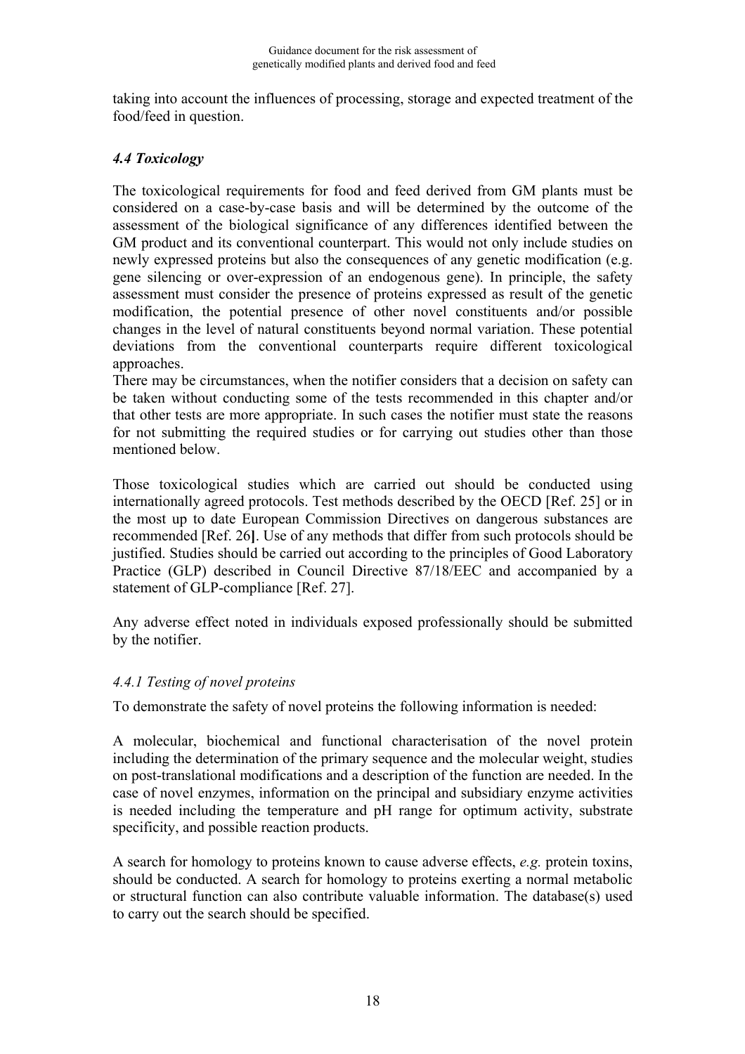<span id="page-18-0"></span>taking into account the influences of processing, storage and expected treatment of the food/feed in question.

## *4.4 Toxicology*

The toxicological requirements for food and feed derived from GM plants must be considered on a case-by-case basis and will be determined by the outcome of the assessment of the biological significance of any differences identified between the GM product and its conventional counterpart. This would not only include studies on newly expressed proteins but also the consequences of any genetic modification (e.g. gene silencing or over-expression of an endogenous gene). In principle, the safety assessment must consider the presence of proteins expressed as result of the genetic modification, the potential presence of other novel constituents and/or possible changes in the level of natural constituents beyond normal variation. These potential deviations from the conventional counterparts require different toxicological approaches.

There may be circumstances, when the notifier considers that a decision on safety can be taken without conducting some of the tests recommended in this chapter and/or that other tests are more appropriate. In such cases the notifier must state the reasons for not submitting the required studies or for carrying out studies other than those mentioned below.

Those toxicological studies which are carried out should be conducted using internationally agreed protocols. Test methods described by the OECD [Ref. 25] or in the most up to date European Commission Directives on dangerous substances are recommended [Ref. 26**]**. Use of any methods that differ from such protocols should be justified. Studies should be carried out according to the principles of Good Laboratory Practice (GLP) described in Council Directive 87/18/EEC and accompanied by a statement of GLP-compliance [Ref. 27].

Any adverse effect noted in individuals exposed professionally should be submitted by the notifier.

## *4.4.1 Testing of novel proteins*

To demonstrate the safety of novel proteins the following information is needed:

A molecular, biochemical and functional characterisation of the novel protein including the determination of the primary sequence and the molecular weight, studies on post-translational modifications and a description of the function are needed. In the case of novel enzymes, information on the principal and subsidiary enzyme activities is needed including the temperature and pH range for optimum activity, substrate specificity, and possible reaction products.

A search for homology to proteins known to cause adverse effects, *e.g.* protein toxins, should be conducted. A search for homology to proteins exerting a normal metabolic or structural function can also contribute valuable information. The database(s) used to carry out the search should be specified.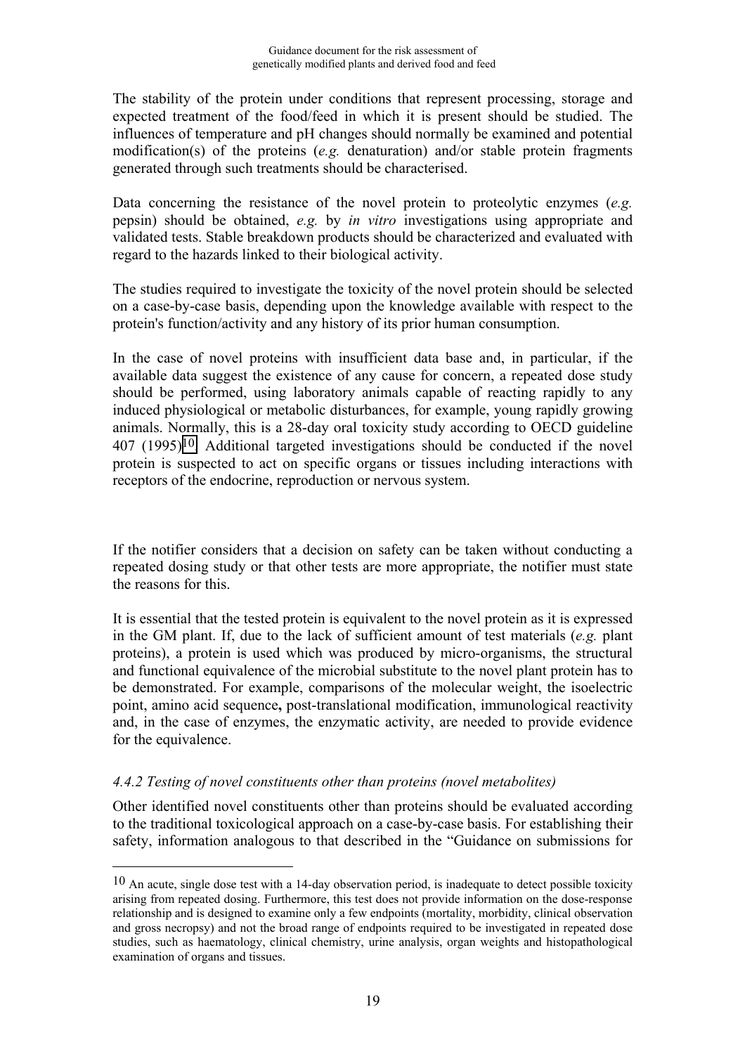The stability of the protein under conditions that represent processing, storage and expected treatment of the food/feed in which it is present should be studied. The influences of temperature and pH changes should normally be examined and potential modification(s) of the proteins (*e.g.* denaturation) and/or stable protein fragments generated through such treatments should be characterised.

Data concerning the resistance of the novel protein to proteolytic enzymes (*e.g.* pepsin) should be obtained, *e.g.* by *in vitro* investigations using appropriate and validated tests. Stable breakdown products should be characterized and evaluated with regard to the hazards linked to their biological activity.

The studies required to investigate the toxicity of the novel protein should be selected on a case-by-case basis, depending upon the knowledge available with respect to the protein's function/activity and any history of its prior human consumption.

In the case of novel proteins with insufficient data base and, in particular, if the available data suggest the existence of any cause for concern, a repeated dose study should be performed, using laboratory animals capable of reacting rapidly to any induced physiological or metabolic disturbances, for example, young rapidly growing animals. Normally, this is a 28-day oral toxicity study according to OECD guideline 407 (1995)10. Additional targeted investigations should be conducted if the novel protein is suspected to act on specific organs or tissues including interactions with receptors of the endocrine, reproduction or nervous system.

If the notifier considers that a decision on safety can be taken without conducting a repeated dosing study or that other tests are more appropriate, the notifier must state the reasons for this.

It is essential that the tested protein is equivalent to the novel protein as it is expressed in the GM plant. If, due to the lack of sufficient amount of test materials (*e.g.* plant proteins), a protein is used which was produced by micro-organisms, the structural and functional equivalence of the microbial substitute to the novel plant protein has to be demonstrated. For example, comparisons of the molecular weight, the isoelectric point, amino acid sequence**,** post-translational modification, immunological reactivity and, in the case of enzymes, the enzymatic activity, are needed to provide evidence for the equivalence.

#### *4.4.2 Testing of novel constituents other than proteins (novel metabolites)*

1

Other identified novel constituents other than proteins should be evaluated according to the traditional toxicological approach on a case-by-case basis. For establishing their safety, information analogous to that described in the "Guidance on submissions for

 $10$  An acute, single dose test with a 14-day observation period, is inadequate to detect possible toxicity arising from repeated dosing. Furthermore, this test does not provide information on the dose-response relationship and is designed to examine only a few endpoints (mortality, morbidity, clinical observation and gross necropsy) and not the broad range of endpoints required to be investigated in repeated dose studies, such as haematology, clinical chemistry, urine analysis, organ weights and histopathological examination of organs and tissues.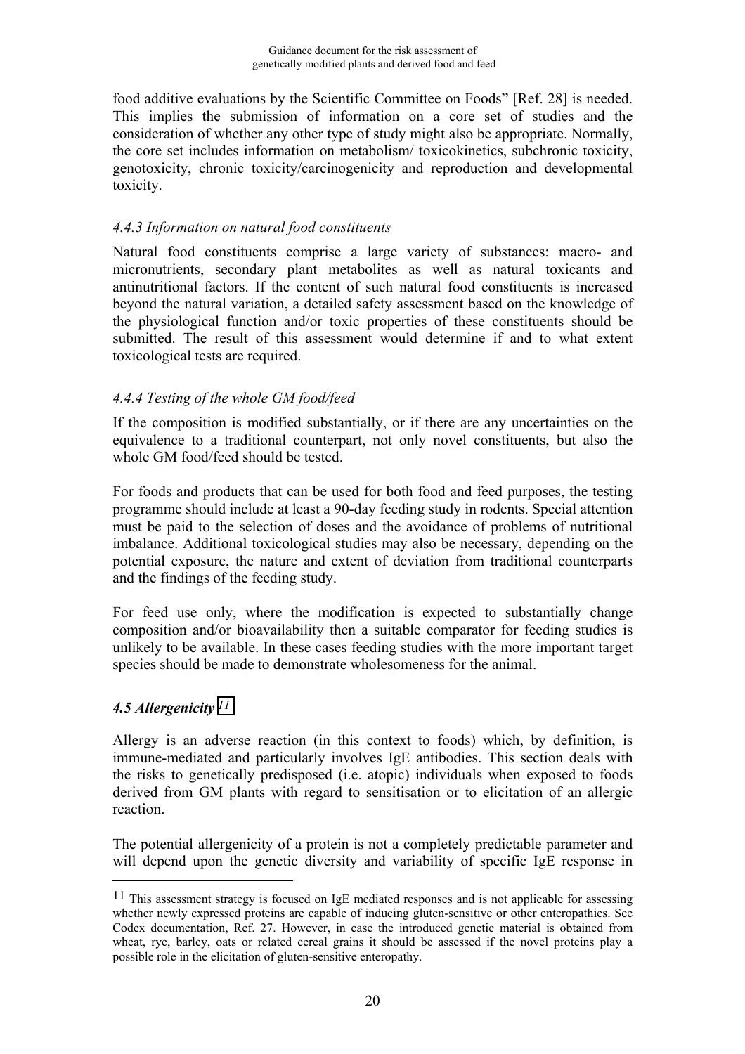<span id="page-20-0"></span>food additive evaluations by the Scientific Committee on Foods" [Ref. 28] is needed. This implies the submission of information on a core set of studies and the consideration of whether any other type of study might also be appropriate. Normally, the core set includes information on metabolism/ toxicokinetics, subchronic toxicity, genotoxicity, chronic toxicity/carcinogenicity and reproduction and developmental toxicity.

## *4.4.3 Information on natural food constituents*

Natural food constituents comprise a large variety of substances: macro- and micronutrients, secondary plant metabolites as well as natural toxicants and antinutritional factors. If the content of such natural food constituents is increased beyond the natural variation, a detailed safety assessment based on the knowledge of the physiological function and/or toxic properties of these constituents should be submitted. The result of this assessment would determine if and to what extent toxicological tests are required.

## *4.4.4 Testing of the whole GM food/feed*

If the composition is modified substantially, or if there are any uncertainties on the equivalence to a traditional counterpart, not only novel constituents, but also the whole GM food/feed should be tested.

For foods and products that can be used for both food and feed purposes, the testing programme should include at least a 90-day feeding study in rodents. Special attention must be paid to the selection of doses and the avoidance of problems of nutritional imbalance. Additional toxicological studies may also be necessary, depending on the potential exposure, the nature and extent of deviation from traditional counterparts and the findings of the feeding study.

For feed use only, where the modification is expected to substantially change composition and/or bioavailability then a suitable comparator for feeding studies is unlikely to be available. In these cases feeding studies with the more important target species should be made to demonstrate wholesomeness for the animal.

## *4.5 Allergenicity 11*

<u>.</u>

Allergy is an adverse reaction (in this context to foods) which, by definition, is immune-mediated and particularly involves IgE antibodies. This section deals with the risks to genetically predisposed (i.e. atopic) individuals when exposed to foods derived from GM plants with regard to sensitisation or to elicitation of an allergic reaction.

The potential allergenicity of a protein is not a completely predictable parameter and will depend upon the genetic diversity and variability of specific IgE response in

<sup>&</sup>lt;sup>11</sup> This assessment strategy is focused on IgE mediated responses and is not applicable for assessing whether newly expressed proteins are capable of inducing gluten-sensitive or other enteropathies. See Codex documentation, Ref. 27. However, in case the introduced genetic material is obtained from wheat, rye, barley, oats or related cereal grains it should be assessed if the novel proteins play a possible role in the elicitation of gluten-sensitive enteropathy.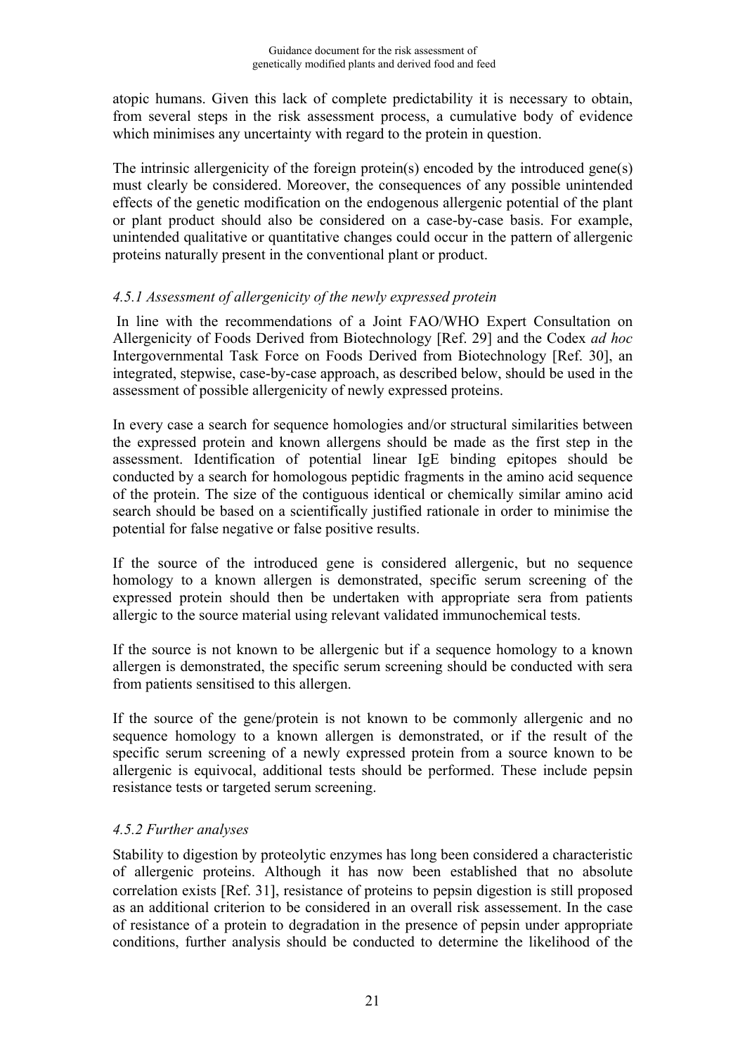atopic humans. Given this lack of complete predictability it is necessary to obtain, from several steps in the risk assessment process, a cumulative body of evidence which minimises any uncertainty with regard to the protein in question.

The intrinsic allergenicity of the foreign protein(s) encoded by the introduced gene(s) must clearly be considered. Moreover, the consequences of any possible unintended effects of the genetic modification on the endogenous allergenic potential of the plant or plant product should also be considered on a case-by-case basis. For example, unintended qualitative or quantitative changes could occur in the pattern of allergenic proteins naturally present in the conventional plant or product.

#### *4.5.1 Assessment of allergenicity of the newly expressed protein*

In line with the recommendations of a Joint FAO/WHO Expert Consultation on Allergenicity of Foods Derived from Biotechnology [Ref. 29] and the Codex *ad hoc* Intergovernmental Task Force on Foods Derived from Biotechnology [Ref. 30], an integrated, stepwise, case-by-case approach, as described below, should be used in the assessment of possible allergenicity of newly expressed proteins.

In every case a search for sequence homologies and/or structural similarities between the expressed protein and known allergens should be made as the first step in the assessment. Identification of potential linear IgE binding epitopes should be conducted by a search for homologous peptidic fragments in the amino acid sequence of the protein. The size of the contiguous identical or chemically similar amino acid search should be based on a scientifically justified rationale in order to minimise the potential for false negative or false positive results.

If the source of the introduced gene is considered allergenic, but no sequence homology to a known allergen is demonstrated, specific serum screening of the expressed protein should then be undertaken with appropriate sera from patients allergic to the source material using relevant validated immunochemical tests.

If the source is not known to be allergenic but if a sequence homology to a known allergen is demonstrated, the specific serum screening should be conducted with sera from patients sensitised to this allergen.

If the source of the gene/protein is not known to be commonly allergenic and no sequence homology to a known allergen is demonstrated, or if the result of the specific serum screening of a newly expressed protein from a source known to be allergenic is equivocal, additional tests should be performed. These include pepsin resistance tests or targeted serum screening.

## *4.5.2 Further analyses*

Stability to digestion by proteolytic enzymes has long been considered a characteristic of allergenic proteins. Although it has now been established that no absolute correlation exists [Ref. 31], resistance of proteins to pepsin digestion is still proposed as an additional criterion to be considered in an overall risk assessement. In the case of resistance of a protein to degradation in the presence of pepsin under appropriate conditions, further analysis should be conducted to determine the likelihood of the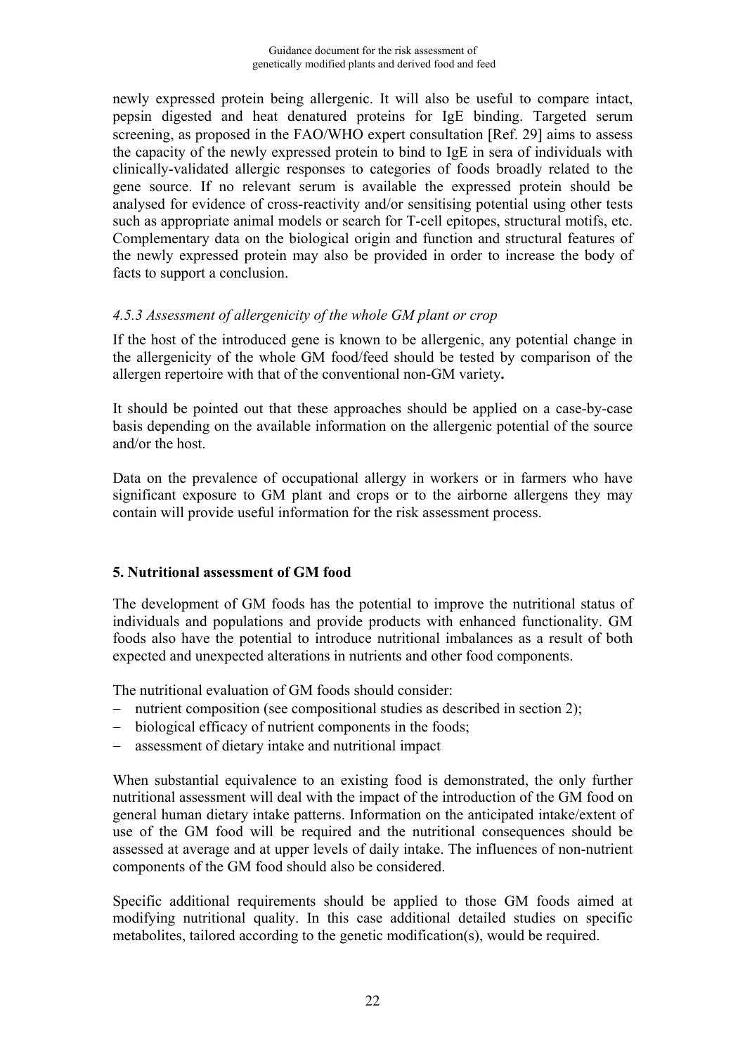<span id="page-22-0"></span>newly expressed protein being allergenic. It will also be useful to compare intact, pepsin digested and heat denatured proteins for IgE binding. Targeted serum screening, as proposed in the FAO/WHO expert consultation [Ref. 29] aims to assess the capacity of the newly expressed protein to bind to IgE in sera of individuals with clinically-validated allergic responses to categories of foods broadly related to the gene source. If no relevant serum is available the expressed protein should be analysed for evidence of cross-reactivity and/or sensitising potential using other tests such as appropriate animal models or search for T-cell epitopes, structural motifs, etc. Complementary data on the biological origin and function and structural features of the newly expressed protein may also be provided in order to increase the body of facts to support a conclusion.

## *4.5.3 Assessment of allergenicity of the whole GM plant or crop*

If the host of the introduced gene is known to be allergenic, any potential change in the allergenicity of the whole GM food/feed should be tested by comparison of the allergen repertoire with that of the conventional non-GM variety**.**

It should be pointed out that these approaches should be applied on a case-by-case basis depending on the available information on the allergenic potential of the source and/or the host.

Data on the prevalence of occupational allergy in workers or in farmers who have significant exposure to GM plant and crops or to the airborne allergens they may contain will provide useful information for the risk assessment process.

## **5. Nutritional assessment of GM food**

The development of GM foods has the potential to improve the nutritional status of individuals and populations and provide products with enhanced functionality. GM foods also have the potential to introduce nutritional imbalances as a result of both expected and unexpected alterations in nutrients and other food components.

The nutritional evaluation of GM foods should consider:

- nutrient composition (see compositional studies as described in section 2);
- biological efficacy of nutrient components in the foods;
- assessment of dietary intake and nutritional impact

When substantial equivalence to an existing food is demonstrated, the only further nutritional assessment will deal with the impact of the introduction of the GM food on general human dietary intake patterns. Information on the anticipated intake/extent of use of the GM food will be required and the nutritional consequences should be assessed at average and at upper levels of daily intake. The influences of non-nutrient components of the GM food should also be considered.

Specific additional requirements should be applied to those GM foods aimed at modifying nutritional quality. In this case additional detailed studies on specific metabolites, tailored according to the genetic modification(s), would be required.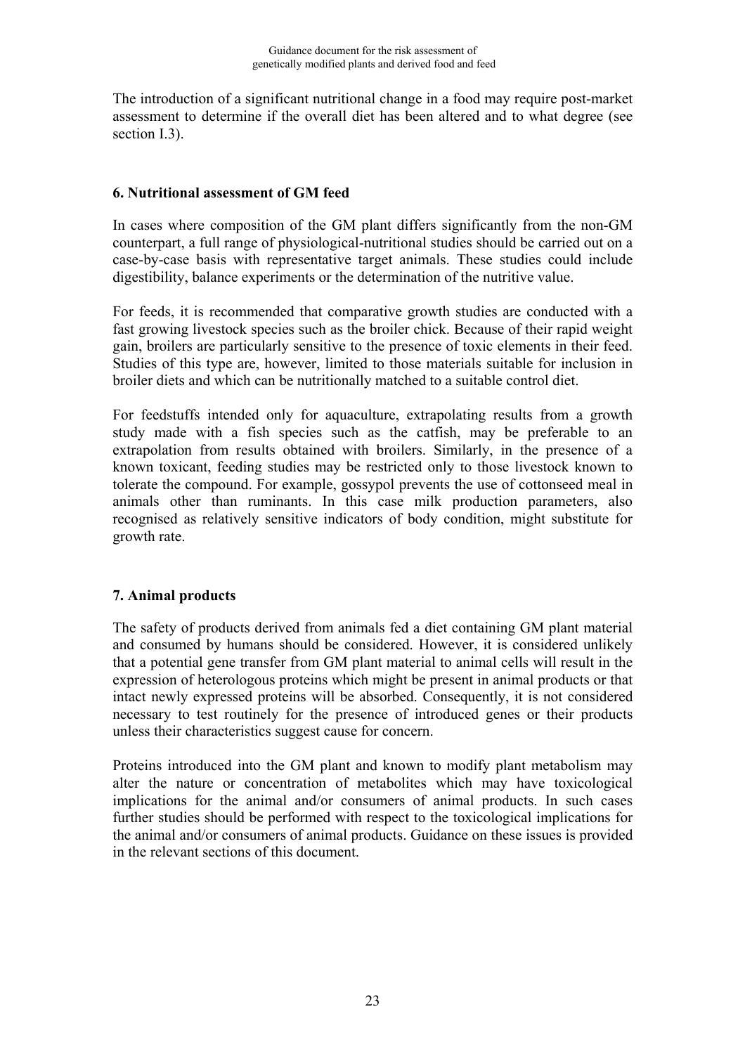<span id="page-23-0"></span>The introduction of a significant nutritional change in a food may require post-market assessment to determine if the overall diet has been altered and to what degree (see section I.3).

#### **6. Nutritional assessment of GM feed**

In cases where composition of the GM plant differs significantly from the non-GM counterpart, a full range of physiological-nutritional studies should be carried out on a case-by-case basis with representative target animals. These studies could include digestibility, balance experiments or the determination of the nutritive value.

For feeds, it is recommended that comparative growth studies are conducted with a fast growing livestock species such as the broiler chick. Because of their rapid weight gain, broilers are particularly sensitive to the presence of toxic elements in their feed. Studies of this type are, however, limited to those materials suitable for inclusion in broiler diets and which can be nutritionally matched to a suitable control diet.

For feedstuffs intended only for aquaculture, extrapolating results from a growth study made with a fish species such as the catfish, may be preferable to an extrapolation from results obtained with broilers. Similarly, in the presence of a known toxicant, feeding studies may be restricted only to those livestock known to tolerate the compound. For example, gossypol prevents the use of cottonseed meal in animals other than ruminants. In this case milk production parameters, also recognised as relatively sensitive indicators of body condition, might substitute for growth rate.

#### **7. Animal products**

The safety of products derived from animals fed a diet containing GM plant material and consumed by humans should be considered. However, it is considered unlikely that a potential gene transfer from GM plant material to animal cells will result in the expression of heterologous proteins which might be present in animal products or that intact newly expressed proteins will be absorbed. Consequently, it is not considered necessary to test routinely for the presence of introduced genes or their products unless their characteristics suggest cause for concern.

Proteins introduced into the GM plant and known to modify plant metabolism may alter the nature or concentration of metabolites which may have toxicological implications for the animal and/or consumers of animal products. In such cases further studies should be performed with respect to the toxicological implications for the animal and/or consumers of animal products. Guidance on these issues is provided in the relevant sections of this document.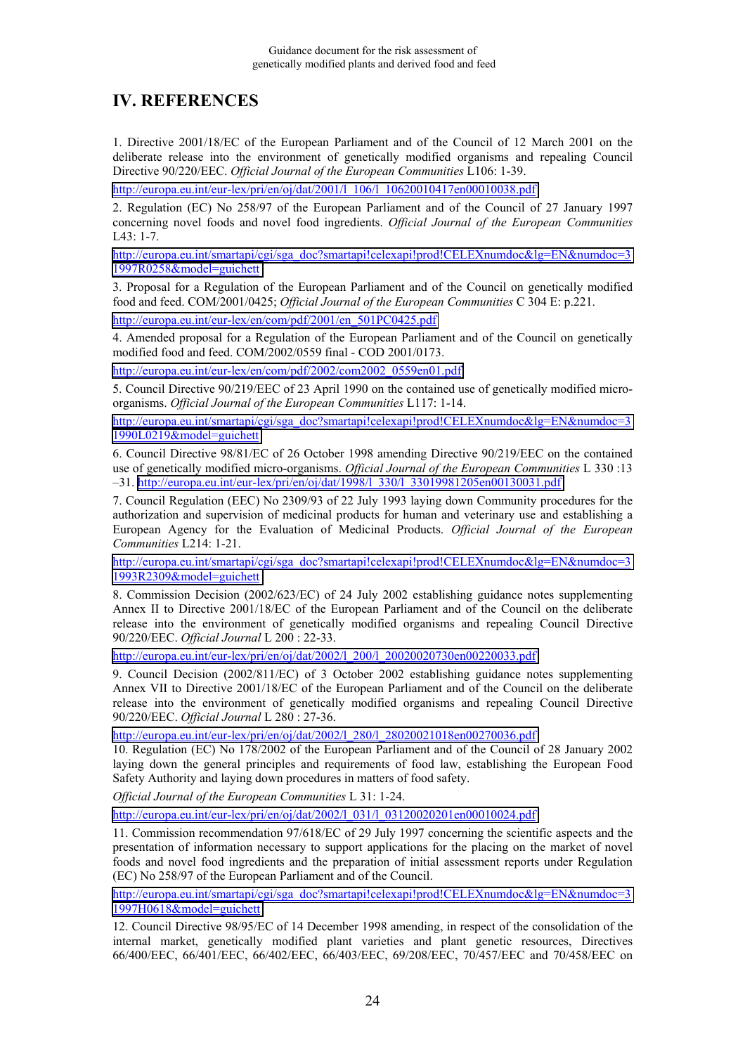# <span id="page-24-0"></span>**IV. REFERENCES**

1. Directive 2001/18/EC of the European Parliament and of the Council of 12 March 2001 on the deliberate release into the environment of genetically modified organisms and repealing Council Directive 90/220/EEC. *Official Journal of the European Communities* L106: 1-39.

[http://europa.eu.int/eur-lex/pri/en/oj/dat/2001/l\\_106/l\\_10620010417en00010038.pdf](http://europa.eu.int/eur-lex/pri/en/oj/dat/2001/l_106/l_10620010417en00010038.pdf)

2. Regulation (EC) No 258/97 of the European Parliament and of the Council of 27 January 1997 concerning novel foods and novel food ingredients. *Official Journal of the European Communities*  $IA3 \cdot 1 - 7$ 

[http://europa.eu.int/smartapi/cgi/sga\\_doc?smartapi!celexapi!prod!CELEXnumdoc&lg=EN&numdoc=3](http://europa.eu.int/smartapi/cgi/sga_doc?smartapi!celexapi!prod!CELEXnumdoc&lg=EN&numdoc=31997R0258&model=guichett) [1997R0258&model=guichett](http://europa.eu.int/smartapi/cgi/sga_doc?smartapi!celexapi!prod!CELEXnumdoc&lg=EN&numdoc=31997R0258&model=guichett)

3. Proposal for a Regulation of the European Parliament and of the Council on genetically modified food and feed. COM/2001/0425; *Official Journal of the European Communities* C 304 E: p.221.

[http://europa.eu.int/eur-lex/en/com/pdf/2001/en\\_501PC0425.pdf](http://europa.eu.int/eur-lex/en/com/pdf/2001/en_501PC0425.pdf)

4. Amended proposal for a Regulation of the European Parliament and of the Council on genetically modified food and feed. COM/2002/0559 final - COD 2001/0173.

[http://europa.eu.int/eur-lex/en/com/pdf/2002/com2002\\_0559en01.pdf](http://europa.eu.int/eur-lex/en/com/pdf/2002/com2002_0559en01.pdf)

5. Council Directive 90/219/EEC of 23 April 1990 on the contained use of genetically modified microorganisms. *Official Journal of the European Communities* L117: 1-14.

[http://europa.eu.int/smartapi/cgi/sga\\_doc?smartapi!celexapi!prod!CELEXnumdoc&lg=EN&numdoc=3](http://europa.eu.int/smartapi/cgi/sga_doc?smartapi!celexapi!prod!CELEXnumdoc&lg=EN&numdoc=31990L0219&model=guichett) [1990L0219&model=guichett](http://europa.eu.int/smartapi/cgi/sga_doc?smartapi!celexapi!prod!CELEXnumdoc&lg=EN&numdoc=31990L0219&model=guichett)

6. Council Directive 98/81/EC of 26 October 1998 amending Directive 90/219/EEC on the contained use of genetically modified micro-organisms. *Official Journal of the European Communities* L 330 :13 –31. [http://europa.eu.int/eur-lex/pri/en/oj/dat/1998/l\\_330/l\\_33019981205en00130031.pdf](http://europa.eu.int/eur-lex/pri/en/oj/dat/1998/l_330/l_33019981205en00130031.pdf)

7. Council Regulation (EEC) No 2309/93 of 22 July 1993 laying down Community procedures for the authorization and supervision of medicinal products for human and veterinary use and establishing a European Agency for the Evaluation of Medicinal Products. *Official Journal of the European Communities* L214: 1-21.

[http://europa.eu.int/smartapi/cgi/sga\\_doc?smartapi!celexapi!prod!CELEXnumdoc&lg=EN&numdoc=3](http://europa.eu.int/smartapi/cgi/sga_doc?smartapi!celexapi!prod!CELEXnumdoc&lg=EN&numdoc=31993R2309&model=guichett) [1993R2309&model=guichett](http://europa.eu.int/smartapi/cgi/sga_doc?smartapi!celexapi!prod!CELEXnumdoc&lg=EN&numdoc=31993R2309&model=guichett)

8. Commission Decision (2002/623/EC) of 24 July 2002 establishing guidance notes supplementing Annex II to Directive 2001/18/EC of the European Parliament and of the Council on the deliberate release into the environment of genetically modified organisms and repealing Council Directive 90/220/EEC. *Official Journal* L 200 : 22-33.

[http://europa.eu.int/eur-lex/pri/en/oj/dat/2002/l\\_200/l\\_20020020730en00220033.pdf](http://europa.eu.int/eur-lex/pri/en/oj/dat/2002/l_200/l_20020020730en00220033.pdf)

9. Council Decision (2002/811/EC) of 3 October 2002 establishing guidance notes supplementing Annex VII to Directive 2001/18/EC of the European Parliament and of the Council on the deliberate release into the environment of genetically modified organisms and repealing Council Directive 90/220/EEC. *Official Journal* L 280 : 27-36.

[http://europa.eu.int/eur-lex/pri/en/oj/dat/2002/l\\_280/l\\_28020021018en00270036.pdf](http://europa.eu.int/eur-lex/pri/en/oj/dat/2002/l_280/l_28020021018en00270036.pdf)

10. Regulation (EC) No 178/2002 of the European Parliament and of the Council of 28 January 2002 laying down the general principles and requirements of food law, establishing the European Food Safety Authority and laying down procedures in matters of food safety.

*Official Journal of the European Communities* L 31: 1-24.

[http://europa.eu.int/eur-lex/pri/en/oj/dat/2002/l\\_031/l\\_03120020201en00010024.pdf](http://europa.eu.int/eur-lex/pri/en/oj/dat/2002/l_031/l_03120020201en00010024.pdf)

11. Commission recommendation 97/618/EC of 29 July 1997 concerning the scientific aspects and the presentation of information necessary to support applications for the placing on the market of novel foods and novel food ingredients and the preparation of initial assessment reports under Regulation (EC) No 258/97 of the European Parliament and of the Council.

[http://europa.eu.int/smartapi/cgi/sga\\_doc?smartapi!celexapi!prod!CELEXnumdoc&lg=EN&numdoc=3](http://europa.eu.int/smartapi/cgi/sga_doc?smartapi!celexapi!prod!CELEXnumdoc&lg=EN&numdoc=31997H0618&model=guichett) [1997H0618&model=guichett](http://europa.eu.int/smartapi/cgi/sga_doc?smartapi!celexapi!prod!CELEXnumdoc&lg=EN&numdoc=31997H0618&model=guichett)

12. Council Directive 98/95/EC of 14 December 1998 amending, in respect of the consolidation of the internal market, genetically modified plant varieties and plant genetic resources, Directives 66/400/EEC, 66/401/EEC, 66/402/EEC, 66/403/EEC, 69/208/EEC, 70/457/EEC and 70/458/EEC on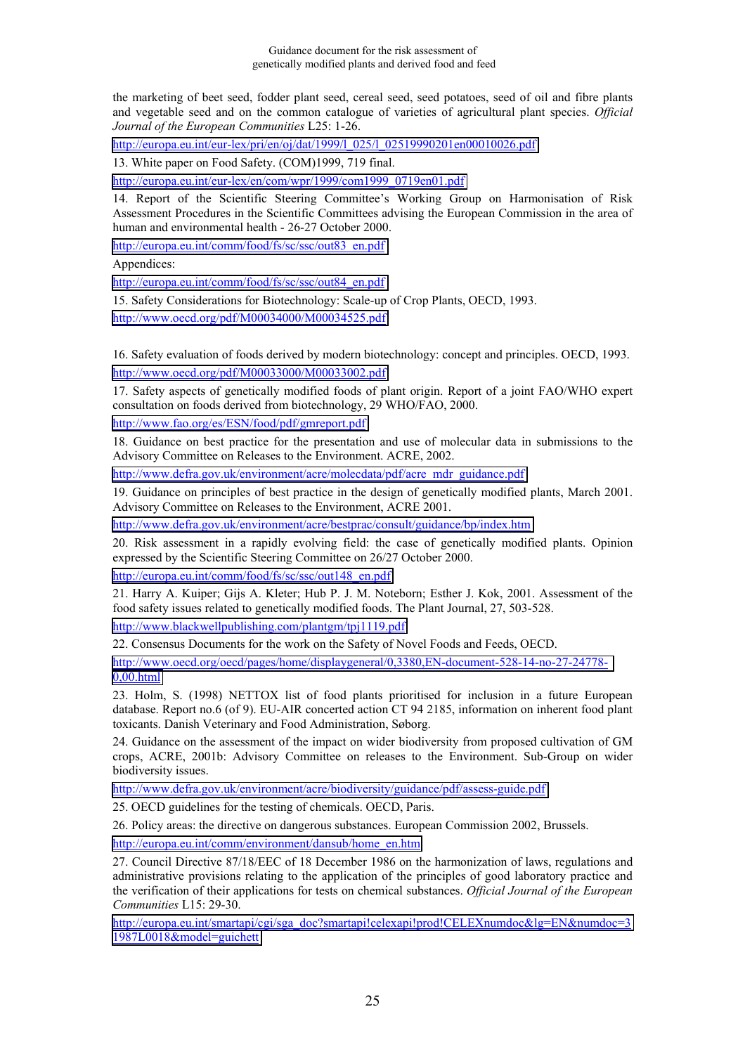the marketing of beet seed, fodder plant seed, cereal seed, seed potatoes, seed of oil and fibre plants and vegetable seed and on the common catalogue of varieties of agricultural plant species. *Official Journal of the European Communities* L25: 1-26.

[http://europa.eu.int/eur-lex/pri/en/oj/dat/1999/l\\_025/l\\_02519990201en00010026.pdf](http://europa.eu.int/eur-lex/pri/en/oj/dat/1999/l_025/l_02519990201en00010026.pdf)

13. White paper on Food Safety. (COM)1999, 719 final.

[http://europa.eu.int/eur-lex/en/com/wpr/1999/com1999\\_0719en01.pdf](http://europa.eu.int/eur-lex/en/com/wpr/1999/com1999_0719en01.pdf)

14. Report of the Scientific Steering Committee's Working Group on Harmonisation of Risk Assessment Procedures in the Scientific Committees advising the European Commission in the area of human and environmental health - 26-27 October 2000.

[http://europa.eu.int/comm/food/fs/sc/ssc/out83\\_en.pdf](http://europa.eu.int/comm/food/fs/sc/ssc/out83_en.pdf)

Appendices:

[http://europa.eu.int/comm/food/fs/sc/ssc/out84\\_en.pdf](http://europa.eu.int/comm/food/fs/sc/ssc/out84_en.pdf)

15. Safety Considerations for Biotechnology: Scale-up of Crop Plants, OECD, 1993. <http://www.oecd.org/pdf/M00034000/M00034525.pdf>

16. Safety evaluation of foods derived by modern biotechnology: concept and principles. OECD, 1993. <http://www.oecd.org/pdf/M00033000/M00033002.pdf>

17. Safety aspects of genetically modified foods of plant origin. Report of a joint FAO/WHO expert consultation on foods derived from biotechnology, 29 WHO/FAO, 2000.

<http://www.fao.org/es/ESN/food/pdf/gmreport.pdf>

18. Guidance on best practice for the presentation and use of molecular data in submissions to the Advisory Committee on Releases to the Environment. ACRE, 2002.

[http://www.defra.gov.uk/environment/acre/molecdata/pdf/acre\\_mdr\\_guidance.pdf](http://www.defra.gov.uk/environment/acre/molecdata/pdf/acre_mdr_guidance.pdf)

19. Guidance on principles of best practice in the design of genetically modified plants, March 2001. Advisory Committee on Releases to the Environment, ACRE 2001.

<http://www.defra.gov.uk/environment/acre/bestprac/consult/guidance/bp/index.htm>

20. Risk assessment in a rapidly evolving field: the case of genetically modified plants. Opinion expressed by the Scientific Steering Committee on 26/27 October 2000.

[http://europa.eu.int/comm/food/fs/sc/ssc/out148\\_en.pdf](http://europa.eu.int/comm/food/fs/sc/ssc/out148_en.pdf)

21. Harry A. Kuiper; Gijs A. Kleter; Hub P. J. M. Noteborn; Esther J. Kok, 2001. Assessment of the food safety issues related to genetically modified foods. The Plant Journal, 27, 503-528.

<http://www.blackwellpublishing.com/plantgm/tpj1119.pdf>

22. Consensus Documents for the work on the Safety of Novel Foods and Feeds, OECD.

[http://www.oecd.org/oecd/pages/home/displaygeneral/0,3380,EN-document-528-14-no-27-24778-](http://www.oecd.org/oecd/pages/home/displaygeneral/0,3380,EN-document-528-14-no-27-24778-0,00.html) [0,00.html](http://www.oecd.org/oecd/pages/home/displaygeneral/0,3380,EN-document-528-14-no-27-24778-0,00.html)

23. Holm, S. (1998) NETTOX list of food plants prioritised for inclusion in a future European database. Report no.6 (of 9). EU-AIR concerted action CT 94 2185, information on inherent food plant toxicants. Danish Veterinary and Food Administration, Søborg.

24. Guidance on the assessment of the impact on wider biodiversity from proposed cultivation of GM crops, ACRE, 2001b: Advisory Committee on releases to the Environment. Sub-Group on wider biodiversity issues.

<http://www.defra.gov.uk/environment/acre/biodiversity/guidance/pdf/assess-guide.pdf>

25. OECD guidelines for the testing of chemicals. OECD, Paris.

26. Policy areas: the directive on dangerous substances. European Commission 2002, Brussels.

[http://europa.eu.int/comm/environment/dansub/home\\_en.htm](http://europa.eu.int/comm/environment/dansub/home_en.htm)

27. Council Directive 87/18/EEC of 18 December 1986 on the harmonization of laws, regulations and administrative provisions relating to the application of the principles of good laboratory practice and the verification of their applications for tests on chemical substances. *Official Journal of the European Communities* L15: 29-30.

[http://europa.eu.int/smartapi/cgi/sga\\_doc?smartapi!celexapi!prod!CELEXnumdoc&lg=EN&numdoc=3](http://europa.eu.int/smartapi/cgi/sga_doc?smartapi!celexapi!prod!CELEXnumdoc&lg=EN&numdoc=31987L0018&model=guichett) [1987L0018&model=guichett](http://europa.eu.int/smartapi/cgi/sga_doc?smartapi!celexapi!prod!CELEXnumdoc&lg=EN&numdoc=31987L0018&model=guichett)